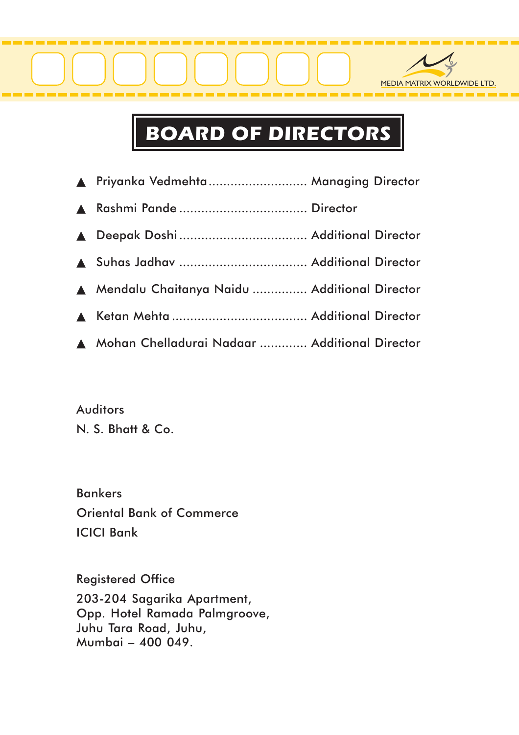

## BOARD OF DIRECTORS

| ▲ Priyanka Vedmehta  Managing Director          |  |
|-------------------------------------------------|--|
|                                                 |  |
|                                                 |  |
|                                                 |  |
| A Mendalu Chaitanya Naidu  Additional Director  |  |
|                                                 |  |
| A Mohan Chelladurai Nadaar  Additional Director |  |

**Auditors** N. S. Bhatt & Co.

Bankers Oriental Bank of Commerce ICICI Bank

Registered Office 203-204 Sagarika Apartment, Opp. Hotel Ramada Palmgroove, Juhu Tara Road, Juhu, Mumbai – 400 049.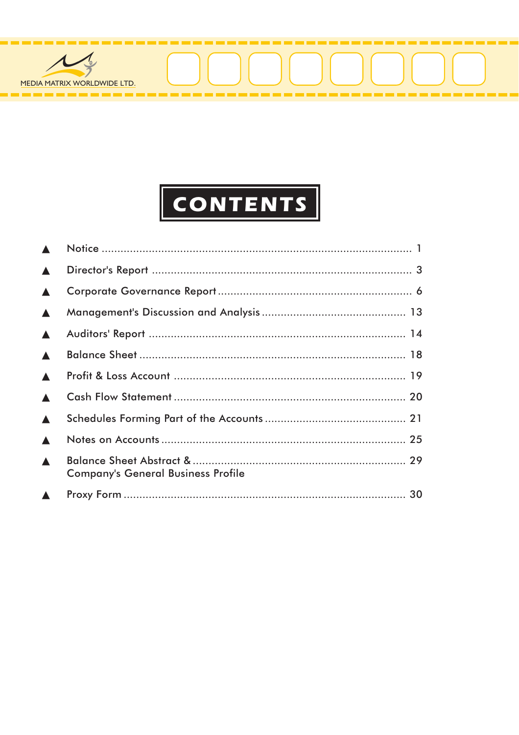

## **CONTENTS**

| $\blacktriangle$ |                                           |  |
|------------------|-------------------------------------------|--|
| $\blacktriangle$ |                                           |  |
| $\blacktriangle$ |                                           |  |
| $\blacktriangle$ |                                           |  |
| $\blacktriangle$ |                                           |  |
| $\blacktriangle$ |                                           |  |
| $\blacktriangle$ |                                           |  |
| $\blacktriangle$ |                                           |  |
| $\blacktriangle$ |                                           |  |
| $\blacktriangle$ |                                           |  |
| $\blacktriangle$ | <b>Company's General Business Profile</b> |  |
| $\blacktriangle$ |                                           |  |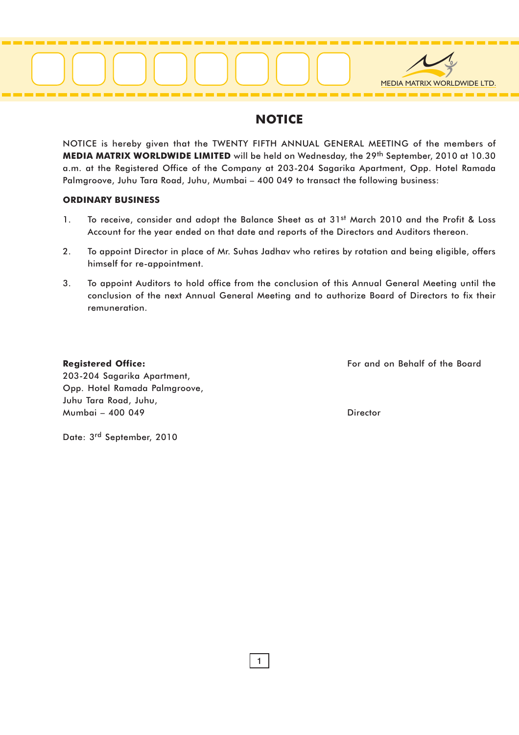

#### NOTICE

NOTICE is hereby given that the TWENTY FIFTH ANNUAL GENERAL MEETING of the members of MEDIA MATRIX WORLDWIDE LIMITED will be held on Wednesday, the 29<sup>th</sup> September, 2010 at 10.30 a.m. at the Registered Office of the Company at 203-204 Sagarika Apartment, Opp. Hotel Ramada Palmgroove, Juhu Tara Road, Juhu, Mumbai – 400 049 to transact the following business:

#### ORDINARY BUSINESS

- 1. To receive, consider and adopt the Balance Sheet as at 31st March 2010 and the Profit & Loss Account for the year ended on that date and reports of the Directors and Auditors thereon.
- 2. To appoint Director in place of Mr. Suhas Jadhav who retires by rotation and being eligible, offers himself for re-appointment.
- 3. To appoint Auditors to hold office from the conclusion of this Annual General Meeting until the conclusion of the next Annual General Meeting and to authorize Board of Directors to fix their remuneration.

Registered Office: The Board Equipment of the Board Equipment Control on Behalf of the Board

203-204 Sagarika Apartment, Opp. Hotel Ramada Palmgroove, Juhu Tara Road, Juhu, Mumbai – 400 049 Director

Date: 3rd September, 2010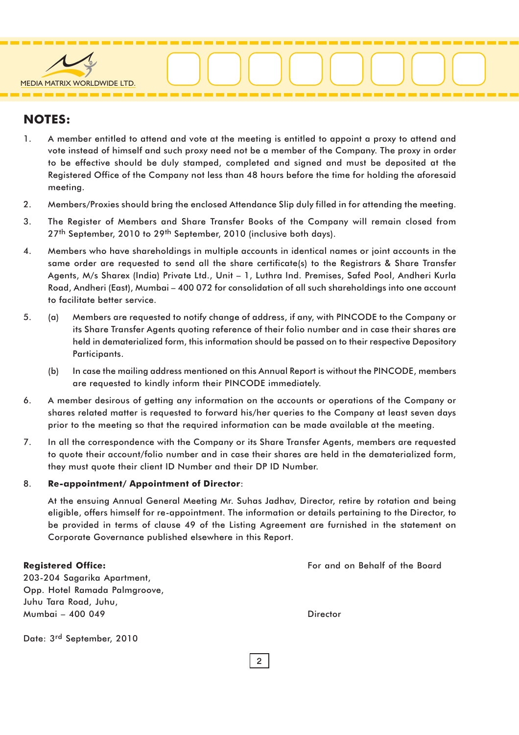

#### NOTES:

- 1. A member entitled to attend and vote at the meeting is entitled to appoint a proxy to attend and vote instead of himself and such proxy need not be a member of the Company. The proxy in order to be effective should be duly stamped, completed and signed and must be deposited at the Registered Office of the Company not less than 48 hours before the time for holding the aforesaid meeting.
- 2. Members/Proxies should bring the enclosed Attendance Slip duly filled in for attending the meeting.
- 3. The Register of Members and Share Transfer Books of the Company will remain closed from 27<sup>th</sup> September, 2010 to 29<sup>th</sup> September, 2010 (inclusive both days).
- 4. Members who have shareholdings in multiple accounts in identical names or joint accounts in the same order are requested to send all the share certificate(s) to the Registrars & Share Transfer Agents, M/s Sharex (India) Private Ltd., Unit – 1, Luthra Ind. Premises, Safed Pool, Andheri Kurla Road, Andheri (East), Mumbai – 400 072 for consolidation of all such shareholdings into one account to facilitate better service.
- 5. (a) Members are requested to notify change of address, if any, with PINCODE to the Company or its Share Transfer Agents quoting reference of their folio number and in case their shares are held in dematerialized form, this information should be passed on to their respective Depository Participants.
	- (b) In case the mailing address mentioned on this Annual Report is without the PINCODE, members are requested to kindly inform their PINCODE immediately.
- 6. A member desirous of getting any information on the accounts or operations of the Company or shares related matter is requested to forward his/her queries to the Company at least seven days prior to the meeting so that the required information can be made available at the meeting.
- 7. In all the correspondence with the Company or its Share Transfer Agents, members are requested to quote their account/folio number and in case their shares are held in the dematerialized form, they must quote their client ID Number and their DP ID Number.

#### 8. Re-appointment/ Appointment of Director:

At the ensuing Annual General Meeting Mr. Suhas Jadhav, Director, retire by rotation and being eligible, offers himself for re-appointment. The information or details pertaining to the Director, to be provided in terms of clause 49 of the Listing Agreement are furnished in the statement on Corporate Governance published elsewhere in this Report.

2

| <b>Registered Office:</b>     | For and on Behalf of the Board |
|-------------------------------|--------------------------------|
| 203-204 Sagarika Apartment,   |                                |
| Opp. Hotel Ramada Palmgroove, |                                |
| Juhu Tara Road, Juhu,         |                                |
| Mumbai - 400 049              | Director                       |
|                               |                                |

Date: 3rd September, 2010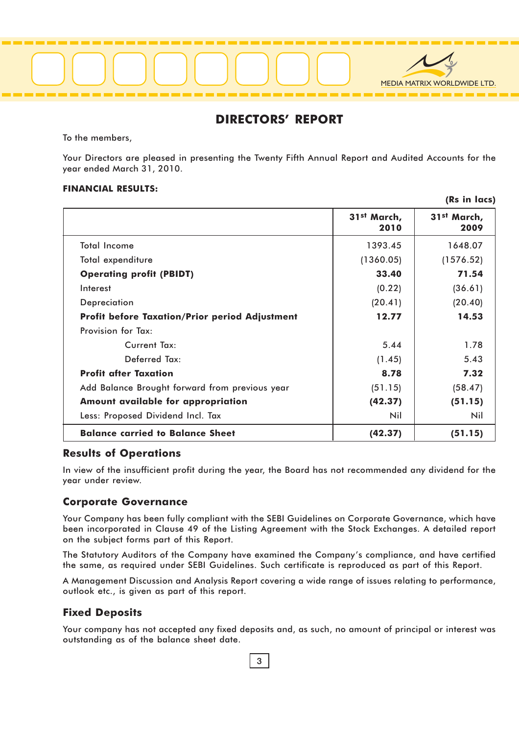

#### DIRECTORS' REPORT

To the members,

Your Directors are pleased in presenting the Twenty Fifth Annual Report and Audited Accounts for the year ended March 31, 2010.

#### FINANCIAL RESULTS:

|                                                       | 31 <sup>st</sup> March,<br>2010 | 31 <sup>st</sup> March,<br>2009 |
|-------------------------------------------------------|---------------------------------|---------------------------------|
| <b>Total Income</b>                                   | 1393.45                         | 1648.07                         |
| Total expenditure                                     | (1360.05)                       | (1576.52)                       |
| <b>Operating profit (PBIDT)</b>                       | 33.40                           | 71.54                           |
| Interest                                              | (0.22)                          | (36.61)                         |
| Depreciation                                          | (20.41)                         | (20.40)                         |
| <b>Profit before Taxation/Prior period Adjustment</b> | 12.77                           | 14.53                           |
| Provision for Tax:                                    |                                 |                                 |
| Current Tax:                                          | 5.44                            | 1.78                            |
| Deferred Tax:                                         | (1.45)                          | 5.43                            |
| <b>Profit after Taxation</b>                          | 8.78                            | 7.32                            |
| Add Balance Brought forward from previous year        | (51.15)                         | (58.47)                         |
| Amount available for appropriation                    | (42.37)                         | (51.15)                         |
| Less: Proposed Dividend Incl. Tax                     | Nil                             | Nil                             |
| <b>Balance carried to Balance Sheet</b>               | (42.37)                         | (51.15)                         |

#### Results of Operations

In view of the insufficient profit during the year, the Board has not recommended any dividend for the year under review.

#### Corporate Governance

Your Company has been fully compliant with the SEBI Guidelines on Corporate Governance, which have been incorporated in Clause 49 of the Listing Agreement with the Stock Exchanges. A detailed report on the subject forms part of this Report.

The Statutory Auditors of the Company have examined the Company's compliance, and have certified the same, as required under SEBI Guidelines. Such certificate is reproduced as part of this Report.

A Management Discussion and Analysis Report covering a wide range of issues relating to performance, outlook etc., is given as part of this report.

#### Fixed Deposits

Your company has not accepted any fixed deposits and, as such, no amount of principal or interest was outstanding as of the balance sheet date.

(Rs in lacs)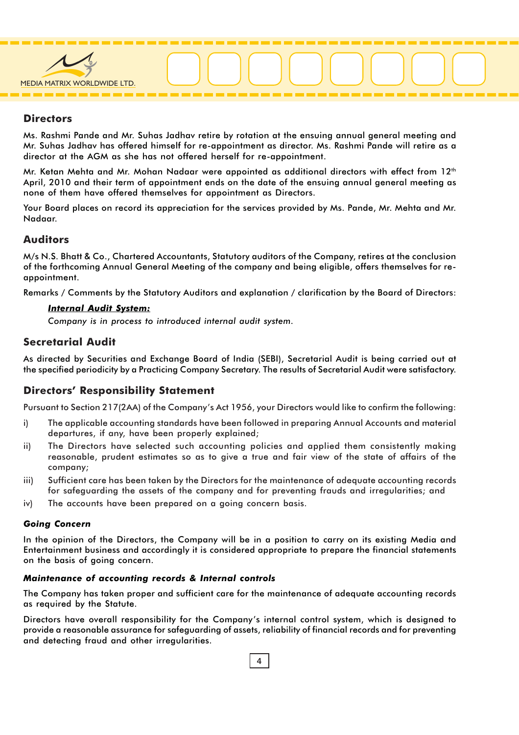

#### **Directors**

Ms. Rashmi Pande and Mr. Suhas Jadhav retire by rotation at the ensuing annual general meeting and Mr. Suhas Jadhav has offered himself for re-appointment as director. Ms. Rashmi Pande will retire as a director at the AGM as she has not offered herself for re-appointment.

Mr. Ketan Mehta and Mr. Mohan Nadaar were appointed as additional directors with effect from 12<sup>th</sup> April, 2010 and their term of appointment ends on the date of the ensuing annual general meeting as none of them have offered themselves for appointment as Directors.

Your Board places on record its appreciation for the services provided by Ms. Pande, Mr. Mehta and Mr. Nadaar.

#### Auditors

M/s N.S. Bhatt & Co., Chartered Accountants, Statutory auditors of the Company, retires at the conclusion of the forthcoming Annual General Meeting of the company and being eligible, offers themselves for reappointment.

Remarks / Comments by the Statutory Auditors and explanation / clarification by the Board of Directors:

#### Internal Audit System:

Company is in process to introduced internal audit system.

#### Secretarial Audit

As directed by Securities and Exchange Board of India (SEBI), Secretarial Audit is being carried out at the specified periodicity by a Practicing Company Secretary. The results of Secretarial Audit were satisfactory.

#### Directors' Responsibility Statement

Pursuant to Section 217(2AA) of the Company's Act 1956, your Directors would like to confirm the following:

- i) The applicable accounting standards have been followed in preparing Annual Accounts and material departures, if any, have been properly explained;
- ii) The Directors have selected such accounting policies and applied them consistently making reasonable, prudent estimates so as to give a true and fair view of the state of affairs of the company;
- iii) Sufficient care has been taken by the Directors for the maintenance of adequate accounting records for safeguarding the assets of the company and for preventing frauds and irregularities; and
- iv) The accounts have been prepared on a going concern basis.

#### Going Concern

In the opinion of the Directors, the Company will be in a position to carry on its existing Media and Entertainment business and accordingly it is considered appropriate to prepare the financial statements on the basis of going concern.

#### Maintenance of accounting records & Internal controls

The Company has taken proper and sufficient care for the maintenance of adequate accounting records as required by the Statute.

Directors have overall responsibility for the Company's internal control system, which is designed to provide a reasonable assurance for safeguarding of assets, reliability of financial records and for preventing and detecting fraud and other irregularities.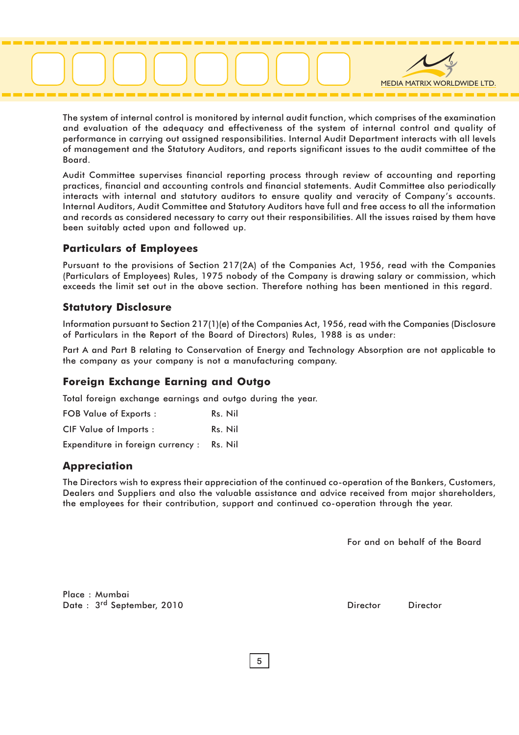

The system of internal control is monitored by internal audit function, which comprises of the examination and evaluation of the adequacy and effectiveness of the system of internal control and quality of performance in carrying out assigned responsibilities. Internal Audit Department interacts with all levels of management and the Statutory Auditors, and reports significant issues to the audit committee of the Board.

Audit Committee supervises financial reporting process through review of accounting and reporting practices, financial and accounting controls and financial statements. Audit Committee also periodically interacts with internal and statutory auditors to ensure quality and veracity of Company's accounts. Internal Auditors, Audit Committee and Statutory Auditors have full and free access to all the information and records as considered necessary to carry out their responsibilities. All the issues raised by them have been suitably acted upon and followed up.

#### Particulars of Employees

Pursuant to the provisions of Section 217(2A) of the Companies Act, 1956, read with the Companies (Particulars of Employees) Rules, 1975 nobody of the Company is drawing salary or commission, which exceeds the limit set out in the above section. Therefore nothing has been mentioned in this regard.

#### Statutory Disclosure

Information pursuant to Section 217(1)(e) of the Companies Act, 1956, read with the Companies (Disclosure of Particulars in the Report of the Board of Directors) Rules, 1988 is as under:

Part A and Part B relating to Conservation of Energy and Technology Absorption are not applicable to the company as your company is not a manufacturing company.

#### Foreign Exchange Earning and Outgo

Total foreign exchange earnings and outgo during the year.

FOB Value of Exports : Rs. Nil CIF Value of Imports : Rs. Nil

Expenditure in foreign currency : Rs. Nil

#### Appreciation

The Directors wish to express their appreciation of the continued co-operation of the Bankers, Customers, Dealers and Suppliers and also the valuable assistance and advice received from major shareholders, the employees for their contribution, support and continued co-operation through the year.

For and on behalf of the Board

Place : Mumbai Date : 3<sup>rd</sup> September, 2010 **Director** Director Director Director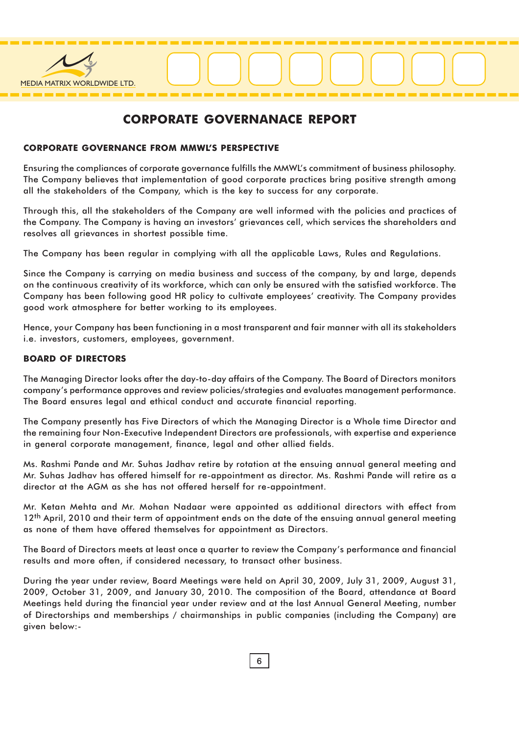

#### CORPORATE GOVERNANACE REPORT

#### CORPORATE GOVERNANCE FROM MMWL'S PERSPECTIVE

Ensuring the compliances of corporate governance fulfills the MMWL's commitment of business philosophy. The Company believes that implementation of good corporate practices bring positive strength among all the stakeholders of the Company, which is the key to success for any corporate.

Through this, all the stakeholders of the Company are well informed with the policies and practices of the Company. The Company is having an investors' grievances cell, which services the shareholders and resolves all grievances in shortest possible time.

The Company has been regular in complying with all the applicable Laws, Rules and Regulations.

Since the Company is carrying on media business and success of the company, by and large, depends on the continuous creativity of its workforce, which can only be ensured with the satisfied workforce. The Company has been following good HR policy to cultivate employees' creativity. The Company provides good work atmosphere for better working to its employees.

Hence, your Company has been functioning in a most transparent and fair manner with all its stakeholders i.e. investors, customers, employees, government.

#### BOARD OF DIRECTORS

The Managing Director looks after the day-to-day affairs of the Company. The Board of Directors monitors company's performance approves and review policies/strategies and evaluates management performance. The Board ensures legal and ethical conduct and accurate financial reporting.

The Company presently has Five Directors of which the Managing Director is a Whole time Director and the remaining four Non-Executive Independent Directors are professionals, with expertise and experience in general corporate management, finance, legal and other allied fields.

Ms. Rashmi Pande and Mr. Suhas Jadhav retire by rotation at the ensuing annual general meeting and Mr. Suhas Jadhav has offered himself for re-appointment as director. Ms. Rashmi Pande will retire as a director at the AGM as she has not offered herself for re-appointment.

Mr. Ketan Mehta and Mr. Mohan Nadaar were appointed as additional directors with effect from 12<sup>th</sup> April, 2010 and their term of appointment ends on the date of the ensuing annual general meeting as none of them have offered themselves for appointment as Directors.

The Board of Directors meets at least once a quarter to review the Company's performance and financial results and more often, if considered necessary, to transact other business.

During the year under review, Board Meetings were held on April 30, 2009, July 31, 2009, August 31, 2009, October 31, 2009, and January 30, 2010. The composition of the Board, attendance at Board Meetings held during the financial year under review and at the last Annual General Meeting, number of Directorships and memberships / chairmanships in public companies (including the Company) are given below:-

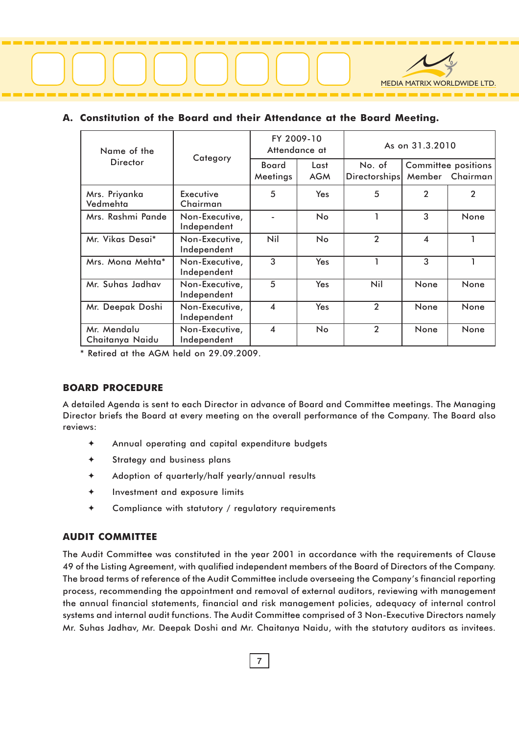

#### A. Constitution of the Board and their Attendance at the Board Meeting.

| Name of the                    | Category                      | FY 2009-10<br>Attendance at |                    | As on 31.3.2010         |                         |                                               |
|--------------------------------|-------------------------------|-----------------------------|--------------------|-------------------------|-------------------------|-----------------------------------------------|
| <b>Director</b>                |                               | Board<br>Meetings           | Last<br><b>AGM</b> | No. of<br>Directorships |                         | <b>Committee positions</b><br>Member Chairman |
| Mrs. Priyanka<br>Vedmehta      | Executive<br>Chairman         | 5                           | Yes                | 5                       | $\overline{2}$          | $\overline{2}$                                |
| Mrs. Rashmi Pande              | Non-Executive,<br>Independent |                             | <b>No</b>          |                         | 3                       | None                                          |
| Mr. Vikas Desai*               | Non-Executive,<br>Independent | Nil                         | <b>No</b>          | $\overline{2}$          | $\overline{\mathbf{4}}$ |                                               |
| Mrs. Mona Mehta*               | Non-Executive,<br>Independent | 3                           | <b>Yes</b>         |                         | 3                       |                                               |
| Mr. Suhas Jadhav               | Non-Executive,<br>Independent | 5                           | Yes                | Nil                     | None                    | None                                          |
| Mr. Deepak Doshi               | Non-Executive,<br>Independent | $\overline{\mathbf{A}}$     | <b>Yes</b>         | $\overline{2}$          | None                    | None                                          |
| Mr. Mendalu<br>Chaitanya Naidu | Non-Executive,<br>Independent | $\boldsymbol{4}$            | No                 | $\overline{2}$          | None                    | None                                          |

\* Retired at the AGM held on 29.09.2009.

#### BOARD PROCEDURE

A detailed Agenda is sent to each Director in advance of Board and Committee meetings. The Managing Director briefs the Board at every meeting on the overall performance of the Company. The Board also reviews:

- ✦ Annual operating and capital expenditure budgets
- ✦ Strategy and business plans
- ✦ Adoption of quarterly/half yearly/annual results
- ✦ Investment and exposure limits
- ✦ Compliance with statutory / regulatory requirements

#### AUDIT COMMITTEE

The Audit Committee was constituted in the year 2001 in accordance with the requirements of Clause 49 of the Listing Agreement, with qualified independent members of the Board of Directors of the Company. The broad terms of reference of the Audit Committee include overseeing the Company's financial reporting process, recommending the appointment and removal of external auditors, reviewing with management the annual financial statements, financial and risk management policies, adequacy of internal control systems and internal audit functions. The Audit Committee comprised of 3 Non-Executive Directors namely Mr. Suhas Jadhav, Mr. Deepak Doshi and Mr. Chaitanya Naidu, with the statutory auditors as invitees.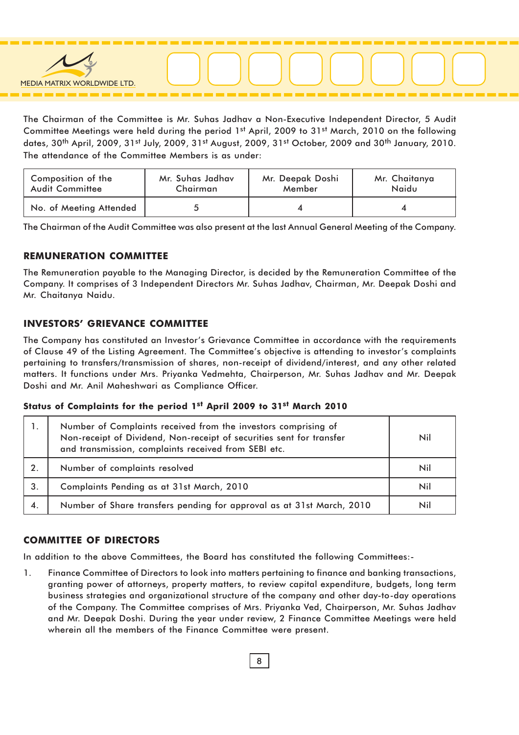

The Chairman of the Committee is Mr. Suhas Jadhav a Non-Executive Independent Director, 5 Audit Committee Meetings were held during the period 1st April, 2009 to 31st March, 2010 on the following dates, 30<sup>th</sup> April, 2009, 31st July, 2009, 31st August, 2009, 31st October, 2009 and 30<sup>th</sup> January, 2010. The attendance of the Committee Members is as under:

| Composition of the<br>Mr. Suhas Jadhav<br><b>Audit Committee</b><br>Chairman |  | Mr. Deepak Doshi<br>Member | Mr. Chaitanya<br>Naidu |  |
|------------------------------------------------------------------------------|--|----------------------------|------------------------|--|
| No. of Meeting Attended                                                      |  |                            |                        |  |

The Chairman of the Audit Committee was also present at the last Annual General Meeting of the Company.

#### REMUNERATION COMMITTEE

The Remuneration payable to the Managing Director, is decided by the Remuneration Committee of the Company. It comprises of 3 Independent Directors Mr. Suhas Jadhav, Chairman, Mr. Deepak Doshi and Mr. Chaitanya Naidu.

#### INVESTORS' GRIEVANCE COMMITTEE

The Company has constituted an Investor's Grievance Committee in accordance with the requirements of Clause 49 of the Listing Agreement. The Committee's objective is attending to investor's complaints pertaining to transfers/transmission of shares, non-receipt of dividend/interest, and any other related matters. It functions under Mrs. Priyanka Vedmehta, Chairperson, Mr. Suhas Jadhav and Mr. Deepak Doshi and Mr. Anil Maheshwari as Compliance Officer.

#### Status of Complaints for the period 1st April 2009 to 31st March 2010

| 1. | Number of Complaints received from the investors comprising of<br>Non-receipt of Dividend, Non-receipt of securities sent for transfer<br>and transmission, complaints received from SEBI etc. | Nil |
|----|------------------------------------------------------------------------------------------------------------------------------------------------------------------------------------------------|-----|
| 2. | Number of complaints resolved                                                                                                                                                                  | Nil |
| 3. | Complaints Pending as at 31st March, 2010                                                                                                                                                      | Nil |
| 4. | Number of Share transfers pending for approval as at 31st March, 2010                                                                                                                          | Nil |

#### COMMITTEE OF DIRECTORS

In addition to the above Committees, the Board has constituted the following Committees:-

1. Finance Committee of Directors to look into matters pertaining to finance and banking transactions, granting power of attorneys, property matters, to review capital expenditure, budgets, long term business strategies and organizational structure of the company and other day-to-day operations of the Company. The Committee comprises of Mrs. Priyanka Ved, Chairperson, Mr. Suhas Jadhav and Mr. Deepak Doshi. During the year under review, 2 Finance Committee Meetings were held wherein all the members of the Finance Committee were present.

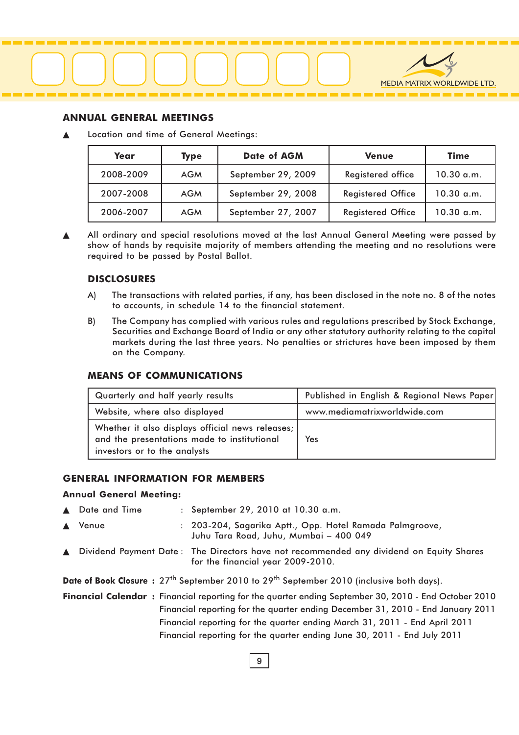

#### ANNUAL GENERAL MEETINGS

Location and time of General Meetings:

| Year      | <b>Type</b> | <b>Date of AGM</b> | <b>Venue</b>             | <b>Time</b>  |
|-----------|-------------|--------------------|--------------------------|--------------|
| 2008-2009 | <b>AGM</b>  | September 29, 2009 | Registered office        | 10.30 a.m.   |
| 2007-2008 | <b>AGM</b>  | September 29, 2008 | <b>Registered Office</b> | $10.30$ a.m. |
| 2006-2007 | <b>AGM</b>  | September 27, 2007 | <b>Registered Office</b> | $10.30$ a.m. |

All ordinary and special resolutions moved at the last Annual General Meeting were passed by show of hands by requisite majority of members attending the meeting and no resolutions were required to be passed by Postal Ballot.

#### DISCLOSURES

- A) The transactions with related parties, if any, has been disclosed in the note no. 8 of the notes to accounts, in schedule 14 to the financial statement.
- B) The Company has complied with various rules and regulations prescribed by Stock Exchange, Securities and Exchange Board of India or any other statutory authority relating to the capital markets during the last three years. No penalties or strictures have been imposed by them on the Company.

#### MEANS OF COMMUNICATIONS

| Quarterly and half yearly results                                                                                                 | Published in English & Regional News Paper |
|-----------------------------------------------------------------------------------------------------------------------------------|--------------------------------------------|
| Website, where also displayed                                                                                                     | www.mediamatrixworldwide.com               |
| Whether it also displays official news releases;  <br>and the presentations made to institutional<br>investors or to the analysts | Yes                                        |

#### GENERAL INFORMATION FOR MEMBERS

#### Annual General Meeting:

- Date and Time : September 29, 2010 at 10.30 a.m. Venue : 203-204, Sagarika Aptt., Opp. Hotel Ramada Palmgroove, Juhu Tara Road, Juhu, Mumbai – 400 049
- ▲ Dividend Payment Date : The Directors have not recommended any dividend on Equity Shares for the financial year 2009-2010.

Date of Book Closure: 27<sup>th</sup> September 2010 to 29<sup>th</sup> September 2010 (inclusive both days).

Financial Calendar : Financial reporting for the quarter ending September 30, 2010 - End October 2010 Financial reporting for the quarter ending December 31, 2010 - End January 2011 Financial reporting for the quarter ending March 31, 2011 - End April 2011 Financial reporting for the quarter ending June 30, 2011 - End July 2011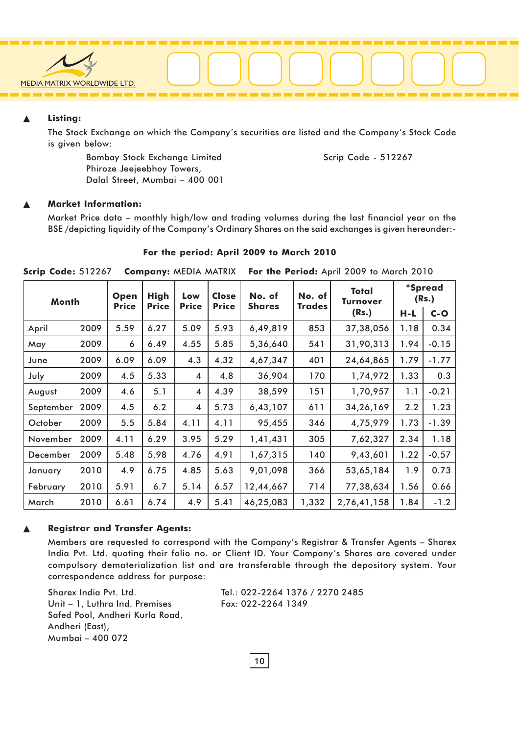

#### ▲ Listing:

The Stock Exchange on which the Company's securities are listed and the Company's Stock Code is given below:

Bombay Stock Exchange Limited Scrip Code - 512267 Phiroze Jeejeebhoy Towers, Dalal Street, Mumbai – 400 001

#### **Market Information:**

Market Price data – monthly high/low and trading volumes during the last financial year on the BSE /depicting liquidity of the Company's Ordinary Shares on the said exchanges is given hereunder:-

#### For the period: April 2009 to March 2010

| Month     |      | Open<br><b>Price</b> | <b>High</b><br><b>Price</b> | Low<br><b>Price</b> | <b>Close</b><br><b>Price</b> | No. of<br><b>Shares</b> |       | No. of<br><b>Trades</b> | <b>Total</b><br>Turnover | <i>*Spread</i><br>(Rs.) |  |
|-----------|------|----------------------|-----------------------------|---------------------|------------------------------|-------------------------|-------|-------------------------|--------------------------|-------------------------|--|
|           |      |                      |                             |                     |                              |                         |       | (Rs.)                   | H-L                      | $C-O$                   |  |
| April     | 2009 | 5.59                 | 6.27                        | 5.09                | 5.93                         | 6,49,819                | 853   | 37,38,056               | 1.18                     | 0.34                    |  |
| May       | 2009 | 6                    | 6.49                        | 4.55                | 5.85                         | 5,36,640                | 541   | 31,90,313               | 1.94                     | $-0.15$                 |  |
| June      | 2009 | 6.09                 | 6.09                        | 4.3                 | 4.32                         | 4,67,347                | 401   | 24,64,865               | 1.79                     | $-1.77$                 |  |
| July      | 2009 | 4.5                  | 5.33                        | 4                   | 4.8                          | 36,904                  | 170   | 1,74,972                | 1.33                     | 0.3                     |  |
| August    | 2009 | 4.6                  | 5.1                         | 4                   | 4.39                         | 38,599                  | 151   | 1,70,957                | 1.1                      | $-0.21$                 |  |
| September | 2009 | 4.5                  | 6.2                         | 4                   | 5.73                         | 6,43,107                | 611   | 34,26,169               | 2.2                      | 1.23                    |  |
| October   | 2009 | 5.5                  | 5.84                        | 4.11                | 4.11                         | 95,455                  | 346   | 4,75,979                | 1.73                     | $-1.39$                 |  |
| November  | 2009 | 4.11                 | 6.29                        | 3.95                | 5.29                         | 1,41,431                | 305   | 7,62,327                | 2.34                     | 1.18                    |  |
| December  | 2009 | 5.48                 | 5.98                        | 4.76                | 4.91                         | 1,67,315                | 140   | 9,43,601                | 1.22                     | $-0.57$                 |  |
| January   | 2010 | 4.9                  | 6.75                        | 4.85                | 5.63                         | 9,01,098                | 366   | 53,65,184               | 1.9                      | 0.73                    |  |
| February  | 2010 | 5.91                 | 6.7                         | 5.14                | 6.57                         | 12,44,667               | 714   | 77,38,634               | 1.56                     | 0.66                    |  |
| March     | 2010 | 6.61                 | 6.74                        | 4.9                 | 5.41                         | 46,25,083               | 1,332 | 2,76,41,158             | 1.84                     | $-1.2$                  |  |

Scrip Code: 512267 Company: MEDIA MATRIX For the Period: April 2009 to March 2010

#### **Registrar and Transfer Agents:**

Members are requested to correspond with the Company's Registrar & Transfer Agents – Sharex India Pvt. Ltd. quoting their folio no. or Client ID. Your Company's Shares are covered under compulsory dematerialization list and are transferable through the depository system. Your correspondence address for purpose:

Unit – 1, Luthra Ind. Premises Fax: 022-2264 1349 Safed Pool, Andheri Kurla Road, Andheri (East), Mumbai – 400 072

Sharex India Pvt. Ltd. Tel.: 022-2264 1376 / 2270 2485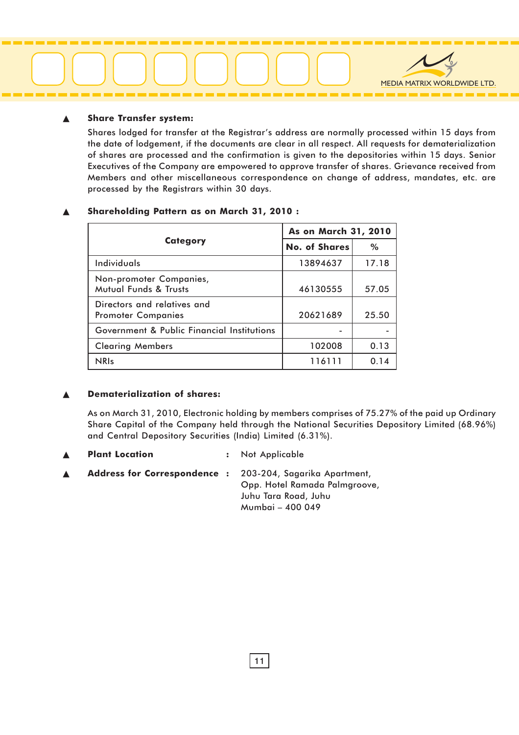# MEDIA MATRIX WORLDWIDE LTD.

#### **Share Transfer system:**

Shares lodged for transfer at the Registrar's address are normally processed within 15 days from the date of lodgement, if the documents are clear in all respect. All requests for dematerialization of shares are processed and the confirmation is given to the depositories within 15 days. Senior Executives of the Company are empowered to approve transfer of shares. Grievance received from Members and other miscellaneous correspondence on change of address, mandates, etc. are processed by the Registrars within 30 days.

|                                                          | As on March 31, 2010 |       |  |
|----------------------------------------------------------|----------------------|-------|--|
| <b>Category</b>                                          | <b>No. of Shares</b> | $\%$  |  |
| Individuals                                              | 13894637             | 17.18 |  |
| Non-promoter Companies,<br>Mutual Funds & Trusts         | 46130555             | 57.05 |  |
| Directors and relatives and<br><b>Promoter Companies</b> | 20621689             | 25.50 |  |
| Government & Public Financial Institutions               |                      |       |  |
| <b>Clearing Members</b>                                  | 102008               | 0.13  |  |
| <b>NRIs</b>                                              | 116111               | 0.14  |  |

#### Shareholding Pattern as on March 31, 2010 :

#### Dematerialization of shares:

As on March 31, 2010, Electronic holding by members comprises of 75.27% of the paid up Ordinary Share Capital of the Company held through the National Securities Depository Limited (68.96%) and Central Depository Securities (India) Limited (6.31%).

- Plant Location : Not Applicable
- Address for Correspondence : 203-204, Sagarika Apartment, Opp. Hotel Ramada Palmgroove, Juhu Tara Road, Juhu Mumbai – 400 049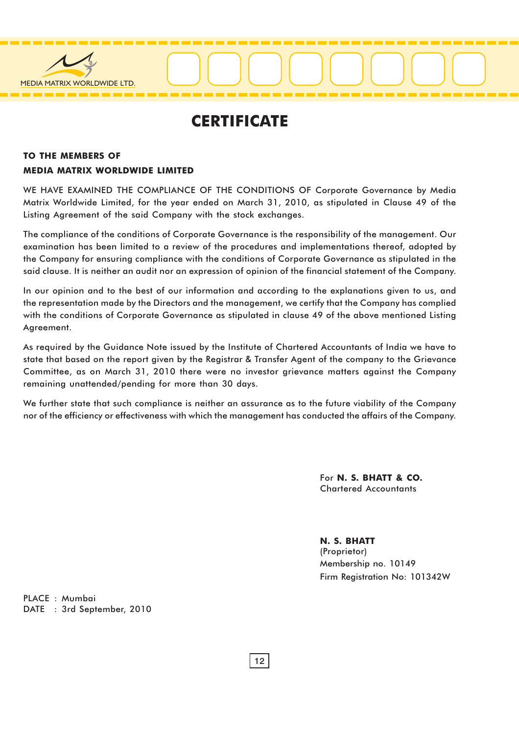

### **CERTIFICATE**

#### TO THE MEMBERS OF MEDIA MATRIX WORLDWIDE LIMITED

WE HAVE EXAMINED THE COMPLIANCE OF THE CONDITIONS OF Corporate Governance by Media Matrix Worldwide Limited, for the year ended on March 31, 2010, as stipulated in Clause 49 of the Listing Agreement of the said Company with the stock exchanges.

The compliance of the conditions of Corporate Governance is the responsibility of the management. Our examination has been limited to a review of the procedures and implementations thereof, adopted by the Company for ensuring compliance with the conditions of Corporate Governance as stipulated in the said clause. It is neither an audit nor an expression of opinion of the financial statement of the Company.

In our opinion and to the best of our information and according to the explanations given to us, and the representation made by the Directors and the management, we certify that the Company has complied with the conditions of Corporate Governance as stipulated in clause 49 of the above mentioned Listing Agreement.

As required by the Guidance Note issued by the Institute of Chartered Accountants of India we have to state that based on the report given by the Registrar & Transfer Agent of the company to the Grievance Committee, as on March 31, 2010 there were no investor grievance matters against the Company remaining unattended/pending for more than 30 days.

We further state that such compliance is neither an assurance as to the future viability of the Company nor of the efficiency or effectiveness with which the management has conducted the affairs of the Company.

> For N. S. BHATT & CO. Chartered Accountants

N. S. BHATT (Proprietor) Membership no. 10149 Firm Registration No: 101342W

PLACE : Mumbai DATE : 3rd September, 2010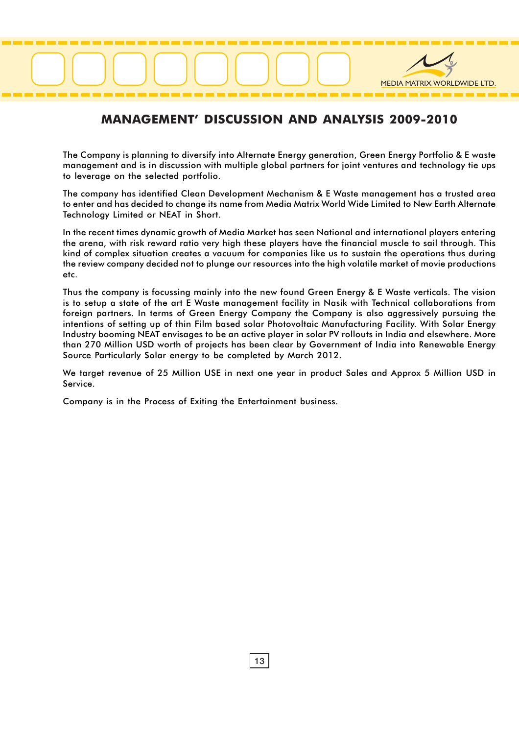# MEDIA MATRIX WORLDWIDE LTD.

#### MANAGEMENT' DISCUSSION AND ANALYSIS 2009-2010

The Company is planning to diversify into Alternate Energy generation, Green Energy Portfolio & E waste management and is in discussion with multiple global partners for joint ventures and technology tie ups to leverage on the selected portfolio.

The company has identified Clean Development Mechanism & E Waste management has a trusted area to enter and has decided to change its name from Media Matrix World Wide Limited to New Earth Alternate Technology Limited or NEAT in Short.

In the recent times dynamic growth of Media Market has seen National and international players entering the arena, with risk reward ratio very high these players have the financial muscle to sail through. This kind of complex situation creates a vacuum for companies like us to sustain the operations thus during the review company decided not to plunge our resources into the high volatile market of movie productions etc.

Thus the company is focussing mainly into the new found Green Energy & E Waste verticals. The vision is to setup a state of the art E Waste management facility in Nasik with Technical collaborations from foreign partners. In terms of Green Energy Company the Company is also aggressively pursuing the intentions of setting up of thin Film based solar Photovoltaic Manufacturing Facility. With Solar Energy Industry booming NEAT envisages to be an active player in solar PV rollouts in India and elsewhere. More than 270 Million USD worth of projects has been clear by Government of India into Renewable Energy Source Particularly Solar energy to be completed by March 2012.

We target revenue of 25 Million USE in next one year in product Sales and Approx 5 Million USD in Service.

Company is in the Process of Exiting the Entertainment business.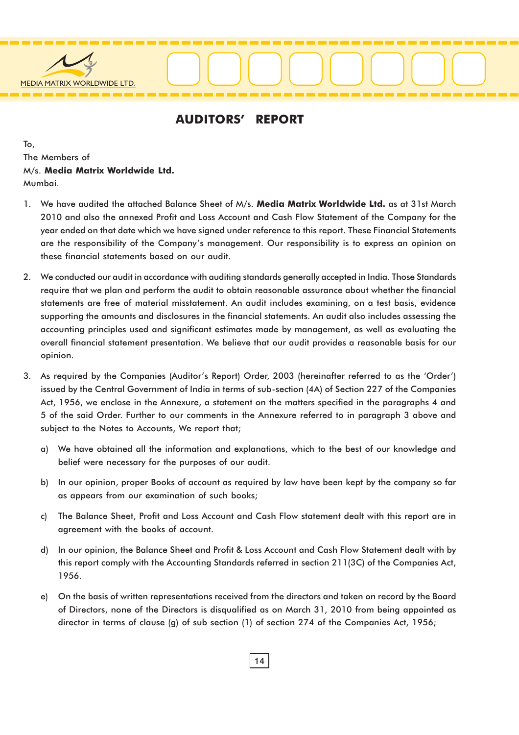

#### AUDITORS' REPORT

To, The Members of M/s. Media Matrix Worldwide Ltd. Mumbai.

- 1. We have audited the attached Balance Sheet of M/s. Media Matrix Worldwide Ltd. as at 31st March 2010 and also the annexed Profit and Loss Account and Cash Flow Statement of the Company for the year ended on that date which we have signed under reference to this report. These Financial Statements are the responsibility of the Company's management. Our responsibility is to express an opinion on these financial statements based on our audit.
- 2. We conducted our audit in accordance with auditing standards generally accepted in India. Those Standards require that we plan and perform the audit to obtain reasonable assurance about whether the financial statements are free of material misstatement. An audit includes examining, on a test basis, evidence supporting the amounts and disclosures in the financial statements. An audit also includes assessing the accounting principles used and significant estimates made by management, as well as evaluating the overall financial statement presentation. We believe that our audit provides a reasonable basis for our opinion.
- 3. As required by the Companies (Auditor's Report) Order, 2003 (hereinafter referred to as the 'Order') issued by the Central Government of India in terms of sub-section (4A) of Section 227 of the Companies Act, 1956, we enclose in the Annexure, a statement on the matters specified in the paragraphs 4 and 5 of the said Order. Further to our comments in the Annexure referred to in paragraph 3 above and subject to the Notes to Accounts, We report that;
	- a) We have obtained all the information and explanations, which to the best of our knowledge and belief were necessary for the purposes of our audit.
	- b) In our opinion, proper Books of account as required by law have been kept by the company so far as appears from our examination of such books;
	- c) The Balance Sheet, Profit and Loss Account and Cash Flow statement dealt with this report are in agreement with the books of account.
	- d) In our opinion, the Balance Sheet and Profit & Loss Account and Cash Flow Statement dealt with by this report comply with the Accounting Standards referred in section 211(3C) of the Companies Act, 1956.
	- e) On the basis of written representations received from the directors and taken on record by the Board of Directors, none of the Directors is disqualified as on March 31, 2010 from being appointed as director in terms of clause (g) of sub section (1) of section 274 of the Companies Act, 1956;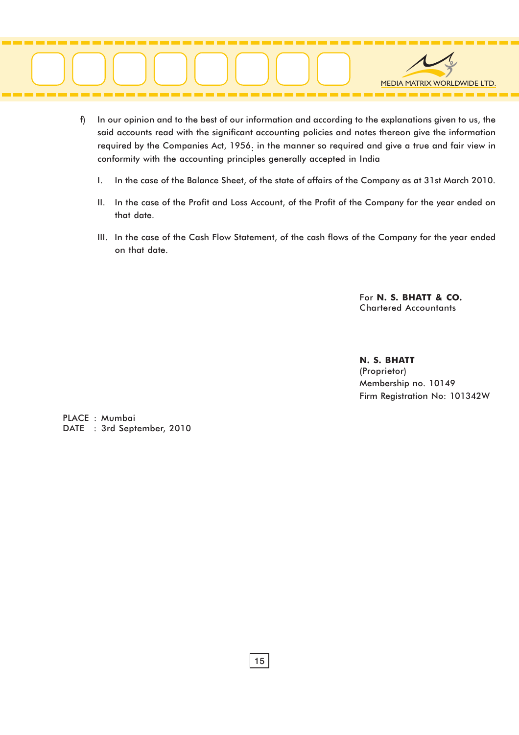

- f) In our opinion and to the best of our information and according to the explanations given to us, the said accounts read with the significant accounting policies and notes thereon give the information required by the Companies Act, 1956: in the manner so required and give a true and fair view in conformity with the accounting principles generally accepted in India
	- I. In the case of the Balance Sheet, of the state of affairs of the Company as at 31st March 2010.
	- II. In the case of the Profit and Loss Account, of the Profit of the Company for the year ended on that date.
	- III. In the case of the Cash Flow Statement, of the cash flows of the Company for the year ended on that date.

For N. S. BHATT & CO. Chartered Accountants

N. S. BHATT (Proprietor) Membership no. 10149 Firm Registration No: 101342W

PLACE : Mumbai DATE : 3rd September, 2010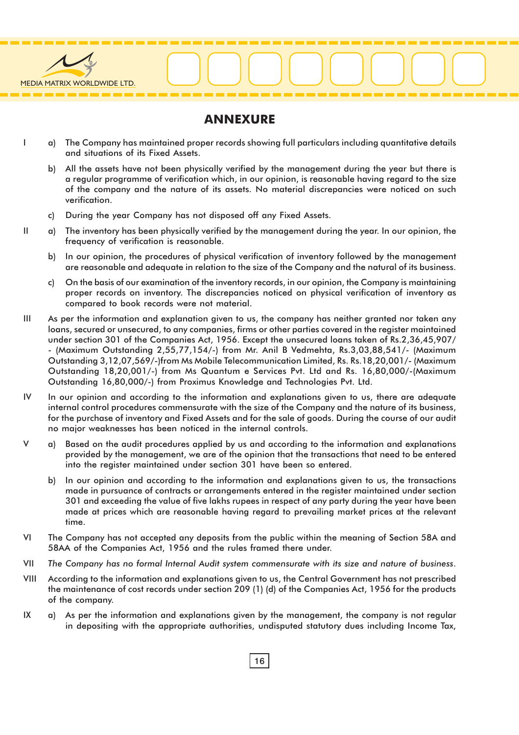

#### ANNEXURE

- I a) The Company has maintained proper records showing full particulars including quantitative details and situations of its Fixed Assets.
	- b) All the assets have not been physically verified by the management during the year but there is a regular programme of verification which, in our opinion, is reasonable having regard to the size of the company and the nature of its assets. No material discrepancies were noticed on such verification.
	- c) During the year Company has not disposed off any Fixed Assets.
- II a) The inventory has been physically verified by the management during the year. In our opinion, the frequency of verification is reasonable.
	- b) In our opinion, the procedures of physical verification of inventory followed by the management are reasonable and adequate in relation to the size of the Company and the natural of its business.
	- c) On the basis of our examination of the inventory records, in our opinion, the Company is maintaining proper records on inventory. The discrepancies noticed on physical verification of inventory as compared to book records were not material.
- III As per the information and explanation given to us, the company has neither granted nor taken any loans, secured or unsecured, to any companies, firms or other parties covered in the register maintained under section 301 of the Companies Act, 1956. Except the unsecured loans taken of Rs.2,36,45,907/ - (Maximum Outstanding 2,55,77,154/-) from Mr. Anil B Vedmehta, Rs.3,03,88,541/- (Maximum Outstanding 3,12,07,569/-)from Ms Mobile Telecommunication Limited, Rs. Rs.18,20,001/- (Maximum Outstanding 18,20,001/-) from Ms Quantum e Services Pvt. Ltd and Rs. 16,80,000/-(Maximum Outstanding 16,80,000/-) from Proximus Knowledge and Technologies Pvt. Ltd.
- IV In our opinion and according to the information and explanations given to us, there are adequate internal control procedures commensurate with the size of the Company and the nature of its business, for the purchase of inventory and Fixed Assets and for the sale of goods. During the course of our audit no major weaknesses has been noticed in the internal controls.
- V a) Based on the audit procedures applied by us and according to the information and explanations provided by the management, we are of the opinion that the transactions that need to be entered into the register maintained under section 301 have been so entered.
	- b) In our opinion and according to the information and explanations given to us, the transactions made in pursuance of contracts or arrangements entered in the register maintained under section 301 and exceeding the value of five lakhs rupees in respect of any party during the year have been made at prices which are reasonable having regard to prevailing market prices at the relevant time.
- VI The Company has not accepted any deposits from the public within the meaning of Section 58A and 58AA of the Companies Act, 1956 and the rules framed there under.
- VII The Company has no formal Internal Audit system commensurate with its size and nature of business.
- VIII According to the information and explanations given to us, the Central Government has not prescribed the maintenance of cost records under section 209 (1) (d) of the Companies Act, 1956 for the products of the company.
- IX a) As per the information and explanations given by the management, the company is not regular in depositing with the appropriate authorities, undisputed statutory dues including Income Tax,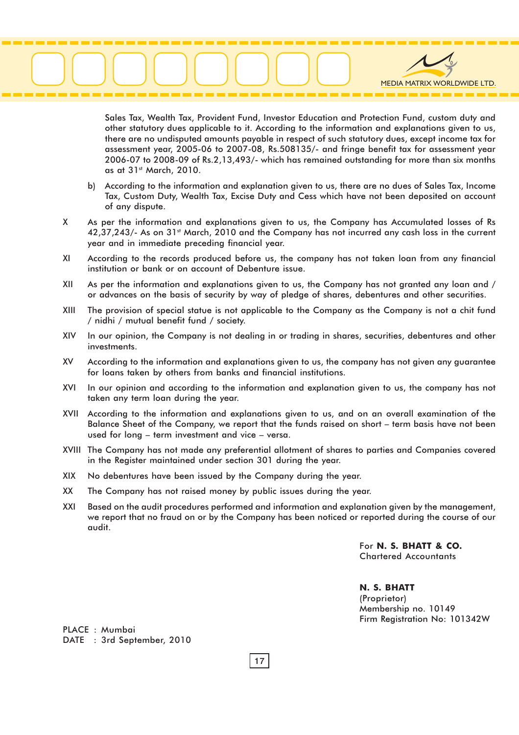# MEDIA MATRIX WORLDWIDE LTD.

Sales Tax, Wealth Tax, Provident Fund, Investor Education and Protection Fund, custom duty and other statutory dues applicable to it. According to the information and explanations given to us, there are no undisputed amounts payable in respect of such statutory dues, except income tax for assessment year, 2005-06 to 2007-08, Rs.508135/- and fringe benefit tax for assessment year 2006-07 to 2008-09 of Rs.2,13,493/- which has remained outstanding for more than six months as at 31st March, 2010.

- b) According to the information and explanation given to us, there are no dues of Sales Tax, Income Tax, Custom Duty, Wealth Tax, Excise Duty and Cess which have not been deposited on account of any dispute.
- X As per the information and explanations given to us, the Company has Accumulated losses of Rs 42,37,243/- As on 31<sup>st</sup> March, 2010 and the Company has not incurred any cash loss in the current year and in immediate preceding financial year.
- XI According to the records produced before us, the company has not taken loan from any financial institution or bank or on account of Debenture issue.
- XII As per the information and explanations given to us, the Company has not granted any loan and / or advances on the basis of security by way of pledge of shares, debentures and other securities.
- XIII The provision of special statue is not applicable to the Company as the Company is not a chit fund / nidhi / mutual benefit fund / society.
- XIV In our opinion, the Company is not dealing in or trading in shares, securities, debentures and other investments.
- XV According to the information and explanations given to us, the company has not given any guarantee for loans taken by others from banks and financial institutions.
- XVI In our opinion and according to the information and explanation given to us, the company has not taken any term loan during the year.
- XVII According to the information and explanations given to us, and on an overall examination of the Balance Sheet of the Company, we report that the funds raised on short – term basis have not been used for long – term investment and vice – versa.
- XVIII The Company has not made any preferential allotment of shares to parties and Companies covered in the Register maintained under section 301 during the year.
- XIX No debentures have been issued by the Company during the year.
- XX The Company has not raised money by public issues during the year.
- XXI Based on the audit procedures performed and information and explanation given by the management, we report that no fraud on or by the Company has been noticed or reported during the course of our audit.

For N. S. BHATT & CO. Chartered Accountants

N. S. BHATT (Proprietor) Membership no. 10149 Firm Registration No: 101342W

PLACE : Mumbai DATE : 3rd September, 2010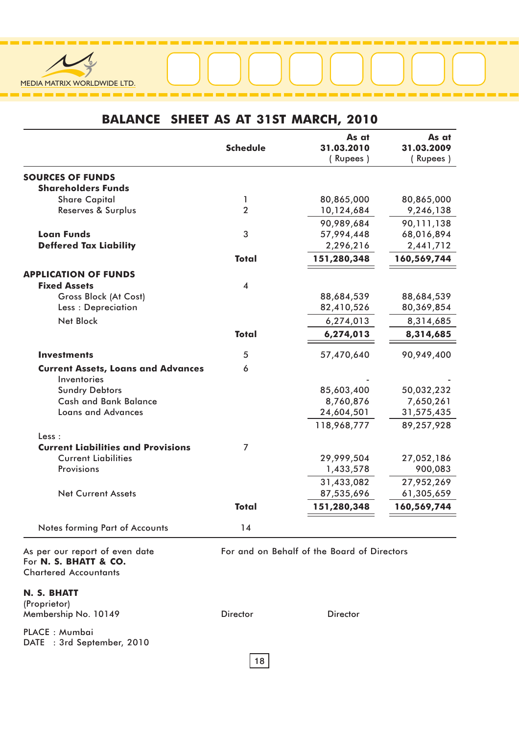

### BALANCE SHEET AS AT 31ST MARCH, 2010

|                                                                                         | <b>Schedule</b>         | As at<br>31.03.2010<br>(Rupees)             | As at<br>31.03.2009<br>(Rupees) |
|-----------------------------------------------------------------------------------------|-------------------------|---------------------------------------------|---------------------------------|
|                                                                                         |                         |                                             |                                 |
| <b>SOURCES OF FUNDS</b><br><b>Shareholders Funds</b>                                    |                         |                                             |                                 |
| <b>Share Capital</b>                                                                    | 1                       | 80,865,000                                  | 80,865,000                      |
| Reserves & Surplus                                                                      | $\overline{2}$          | 10,124,684                                  | 9,246,138                       |
|                                                                                         |                         | 90,989,684                                  | 90,111,138                      |
| <b>Loan Funds</b>                                                                       | 3                       | 57,994,448                                  | 68,016,894                      |
| <b>Deffered Tax Liability</b>                                                           |                         | 2,296,216                                   | 2,441,712                       |
|                                                                                         | <b>Total</b>            | 151,280,348                                 | 160,569,744                     |
| <b>APPLICATION OF FUNDS</b>                                                             |                         |                                             |                                 |
| <b>Fixed Assets</b>                                                                     | $\overline{\mathbf{4}}$ |                                             |                                 |
| Gross Block (At Cost)                                                                   |                         | 88,684,539                                  | 88,684,539                      |
| Less: Depreciation                                                                      |                         | 82,410,526                                  | 80,369,854                      |
| <b>Net Block</b>                                                                        |                         | 6,274,013                                   | 8,314,685                       |
|                                                                                         | <b>Total</b>            | 6,274,013                                   | 8,314,685                       |
| <b>Investments</b>                                                                      | 5                       | 57,470,640                                  | 90,949,400                      |
| <b>Current Assets, Loans and Advances</b>                                               | 6                       |                                             |                                 |
| Inventories                                                                             |                         |                                             |                                 |
| <b>Sundry Debtors</b>                                                                   |                         | 85,603,400                                  | 50,032,232                      |
| <b>Cash and Bank Balance</b>                                                            |                         | 8,760,876                                   | 7,650,261                       |
| <b>Loans and Advances</b>                                                               |                         | 24,604,501                                  | 31,575,435                      |
|                                                                                         |                         | 118,968,777                                 | 89,257,928                      |
| Less :                                                                                  |                         |                                             |                                 |
| <b>Current Liabilities and Provisions</b><br><b>Current Liabilities</b>                 | 7                       | 29,999,504                                  | 27,052,186                      |
| Provisions                                                                              |                         | 1,433,578                                   | 900,083                         |
|                                                                                         |                         | 31,433,082                                  | 27,952,269                      |
| <b>Net Current Assets</b>                                                               |                         | 87,535,696                                  | 61,305,659                      |
|                                                                                         | <b>Total</b>            | 151,280,348                                 | 160,569,744                     |
|                                                                                         |                         |                                             |                                 |
| Notes forming Part of Accounts                                                          | 14                      |                                             |                                 |
| As per our report of even date<br>For N. S. BHATT & CO.<br><b>Chartered Accountants</b> |                         | For and on Behalf of the Board of Directors |                                 |
| N. S. BHATT                                                                             |                         |                                             |                                 |
| (Proprietor)                                                                            |                         |                                             |                                 |
| Membership No. 10149                                                                    | <b>Director</b>         | <b>Director</b>                             |                                 |
| PLACE : Mumbai                                                                          |                         |                                             |                                 |

DATE : 3rd September, 2010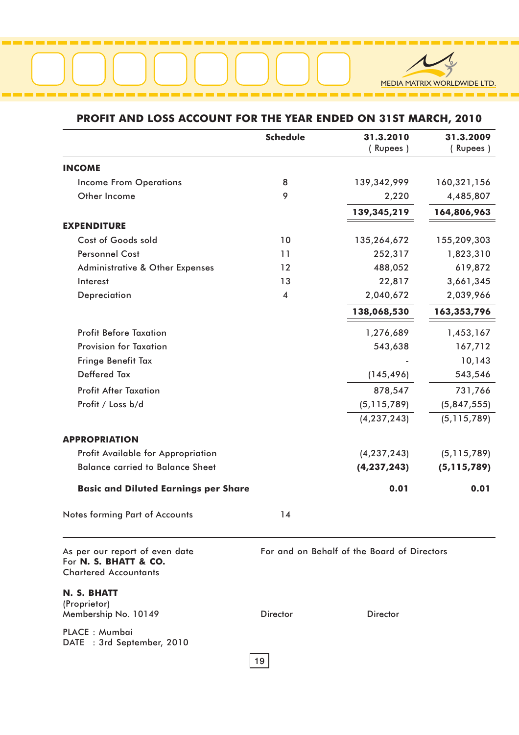

#### PROFIT AND LOSS ACCOUNT FOR THE YEAR ENDED ON 31ST MARCH, 2010

|                                                                                         | <b>Schedule</b>         | 31.3.2010<br>(Rupees)                       | 31.3.2009<br>(Rupees) |
|-----------------------------------------------------------------------------------------|-------------------------|---------------------------------------------|-----------------------|
| <b>INCOME</b>                                                                           |                         |                                             |                       |
| <b>Income From Operations</b>                                                           | 8                       | 139,342,999                                 | 160,321,156           |
| Other Income                                                                            | 9                       | 2,220                                       | 4,485,807             |
|                                                                                         |                         | 139,345,219                                 | 164,806,963           |
| <b>EXPENDITURE</b>                                                                      |                         |                                             |                       |
| Cost of Goods sold                                                                      | 10                      | 135,264,672                                 | 155,209,303           |
| <b>Personnel Cost</b>                                                                   | 11                      | 252,317                                     | 1,823,310             |
| <b>Administrative &amp; Other Expenses</b>                                              | 12                      | 488,052                                     | 619,872               |
| Interest                                                                                | 13                      | 22,817                                      | 3,661,345             |
| Depreciation                                                                            | $\overline{\mathbf{4}}$ | 2,040,672                                   | 2,039,966             |
|                                                                                         |                         | 138,068,530                                 | 163,353,796           |
| <b>Profit Before Taxation</b>                                                           |                         | 1,276,689                                   | 1,453,167             |
| <b>Provision for Taxation</b>                                                           |                         | 543,638                                     | 167,712               |
| Fringe Benefit Tax                                                                      |                         |                                             | 10,143                |
| <b>Deffered Tax</b>                                                                     |                         | (145, 496)                                  | 543,546               |
| <b>Profit After Taxation</b>                                                            |                         | 878,547                                     | 731,766               |
| Profit / Loss b/d                                                                       |                         | (5, 115, 789)                               | (5,847,555)           |
|                                                                                         |                         | (4, 237, 243)                               | (5, 115, 789)         |
|                                                                                         |                         |                                             |                       |
| <b>APPROPRIATION</b>                                                                    |                         |                                             |                       |
| Profit Available for Appropriation                                                      |                         | (4, 237, 243)                               | (5, 115, 789)         |
| <b>Balance carried to Balance Sheet</b>                                                 |                         | (4, 237, 243)                               | (5, 115, 789)         |
| <b>Basic and Diluted Earnings per Share</b>                                             |                         | 0.01                                        | 0.01                  |
| Notes forming Part of Accounts                                                          | 14                      |                                             |                       |
| As per our report of even date<br>For N. S. BHATT & CO.<br><b>Chartered Accountants</b> |                         | For and on Behalf of the Board of Directors |                       |
| N. S. BHATT                                                                             |                         |                                             |                       |
| (Proprietor)<br>Membership No. 10149                                                    | <b>Director</b>         | <b>Director</b>                             |                       |
| PLACE : Mumbai                                                                          |                         |                                             |                       |

DATE : 3rd September, 2010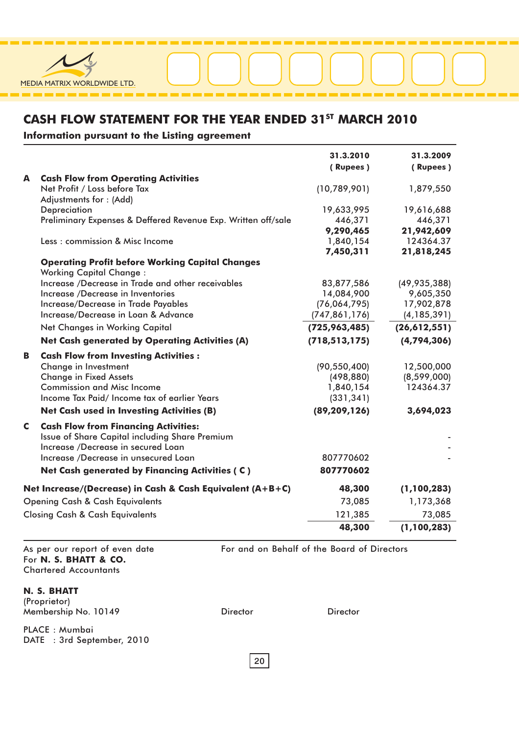

#### CASH FLOW STATEMENT FOR THE YEAR ENDED 31<sup>ST</sup> MARCH 2010

Information pursuant to the Listing agreement

|   |                                                                                          | 31.3.2010       | 31.3.2009      |
|---|------------------------------------------------------------------------------------------|-----------------|----------------|
|   |                                                                                          | (Rupees)        | (Rupees)       |
| A | <b>Cash Flow from Operating Activities</b>                                               |                 |                |
|   | Net Profit / Loss before Tax                                                             | (10,789,901)    | 1,879,550      |
|   | Adjustments for: (Add)                                                                   |                 |                |
|   | Depreciation                                                                             | 19,633,995      | 19,616,688     |
|   | Preliminary Expenses & Deffered Revenue Exp. Written off/sale                            | 446,371         | 446,371        |
|   |                                                                                          | 9,290,465       | 21,942,609     |
|   | Less: commission & Misc Income                                                           | 1,840,154       | 124364.37      |
|   |                                                                                          | 7,450,311       | 21,818,245     |
|   | <b>Operating Profit before Working Capital Changes</b><br><b>Working Capital Change:</b> |                 |                |
|   | Increase /Decrease in Trade and other receivables                                        | 83,877,586      | (49, 935, 388) |
|   | Increase /Decrease in Inventories                                                        | 14,084,900      | 9,605,350      |
|   | Increase/Decrease in Trade Payables                                                      | (76,064,795)    | 17,902,878     |
|   | Increase/Decrease in Loan & Advance                                                      | (747, 861, 176) | (4, 185, 391)  |
|   | <b>Net Changes in Working Capital</b>                                                    | (725, 963, 485) | (26,612,551)   |
|   | <b>Net Cash generated by Operating Activities (A)</b>                                    | (718, 513, 175) | (4, 794, 306)  |
| В | <b>Cash Flow from Investing Activities:</b>                                              |                 |                |
|   | Change in Investment                                                                     | (90, 550, 400)  | 12,500,000     |
|   | <b>Change in Fixed Assets</b>                                                            | (498, 880)      | (8,599,000)    |
|   | <b>Commission and Misc Income</b>                                                        | 1,840,154       | 124364.37      |
|   | Income Tax Paid/Income tax of earlier Years                                              | (331, 341)      |                |
|   | <b>Net Cash used in Investing Activities (B)</b>                                         | (89, 209, 126)  | 3,694,023      |
| C | <b>Cash Flow from Financing Activities:</b>                                              |                 |                |
|   | Issue of Share Capital including Share Premium                                           |                 |                |
|   | Increase /Decrease in secured Loan                                                       |                 |                |
|   | Increase /Decrease in unsecured Loan                                                     | 807770602       |                |
|   | Net Cash generated by Financing Activities (C)                                           | 807770602       |                |
|   | Net Increase/(Decrease) in Cash & Cash Equivalent (A+B+C)                                | 48,300          | (1, 100, 283)  |
|   | <b>Opening Cash &amp; Cash Equivalents</b>                                               | 73,085          | 1,173,368      |
|   | <b>Closing Cash &amp; Cash Equivalents</b>                                               | 121,385         | 73,085         |
|   |                                                                                          | 48,300          | (1, 100, 283)  |

As per our report of even date For N. S. BHATT & CO. Chartered Accountants

#### N. S. BHATT

(Proprietor) Membership No. 10149

PLACE : Mumbai DATE : 3rd September, 2010 For and on Behalf of the Board of Directors

Director Director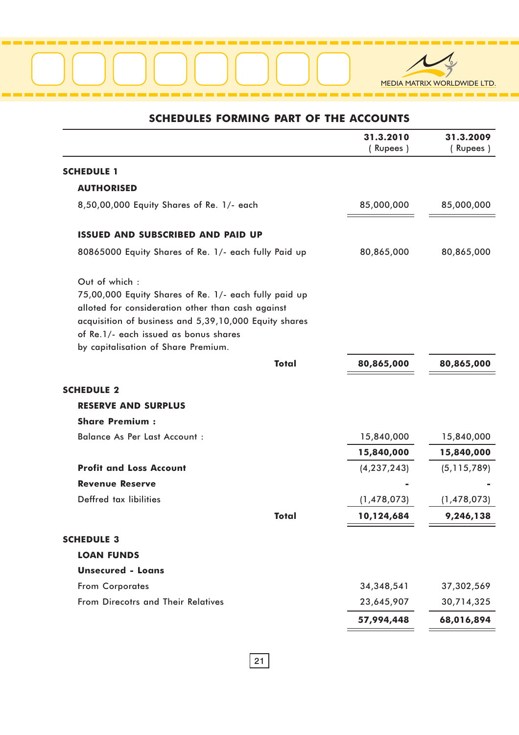

### SCHEDULES FORMING PART OF THE ACCOUNTS

|                                                                                                                                                                                                                                                                      |              | 31.3.2010<br>(Rupees) | 31.3.2009<br>(Rupees) |
|----------------------------------------------------------------------------------------------------------------------------------------------------------------------------------------------------------------------------------------------------------------------|--------------|-----------------------|-----------------------|
| <b>SCHEDULE 1</b>                                                                                                                                                                                                                                                    |              |                       |                       |
| <b>AUTHORISED</b>                                                                                                                                                                                                                                                    |              |                       |                       |
| 8,50,00,000 Equity Shares of Re. 1/- each                                                                                                                                                                                                                            |              | 85,000,000            | 85,000,000            |
| <b>ISSUED AND SUBSCRIBED AND PAID UP</b>                                                                                                                                                                                                                             |              |                       |                       |
| 80865000 Equity Shares of Re. 1/- each fully Paid up                                                                                                                                                                                                                 |              | 80,865,000            | 80,865,000            |
| Out of which:<br>75,00,000 Equity Shares of Re. 1/- each fully paid up<br>alloted for consideration other than cash against<br>acquisition of business and 5,39,10,000 Equity shares<br>of Re.1/- each issued as bonus shares<br>by capitalisation of Share Premium. |              |                       |                       |
|                                                                                                                                                                                                                                                                      | <b>Total</b> | 80,865,000            | 80,865,000            |
| <b>SCHEDULE 2</b>                                                                                                                                                                                                                                                    |              |                       |                       |
| <b>RESERVE AND SURPLUS</b>                                                                                                                                                                                                                                           |              |                       |                       |
| <b>Share Premium:</b>                                                                                                                                                                                                                                                |              |                       |                       |
| <b>Balance As Per Last Account:</b>                                                                                                                                                                                                                                  |              | 15,840,000            | 15,840,000            |
|                                                                                                                                                                                                                                                                      |              | 15,840,000            | 15,840,000            |
| <b>Profit and Loss Account</b>                                                                                                                                                                                                                                       |              | (4, 237, 243)         | (5, 115, 789)         |
| <b>Revenue Reserve</b>                                                                                                                                                                                                                                               |              |                       |                       |
| Deffred tax libilities                                                                                                                                                                                                                                               |              | (1,478,073)           | (1,478,073)           |
|                                                                                                                                                                                                                                                                      | Total        | 10,124,684            | 9,246,138             |
| <b>SCHEDULE 3</b>                                                                                                                                                                                                                                                    |              |                       |                       |
| <b>LOAN FUNDS</b>                                                                                                                                                                                                                                                    |              |                       |                       |
| <b>Unsecured - Loans</b>                                                                                                                                                                                                                                             |              |                       |                       |
| From Corporates                                                                                                                                                                                                                                                      |              | 34, 348, 541          | 37,302,569            |
| From Direcotrs and Their Relatives                                                                                                                                                                                                                                   |              | 23,645,907            | 30,714,325            |
|                                                                                                                                                                                                                                                                      |              | 57,994,448            | 68,016,894            |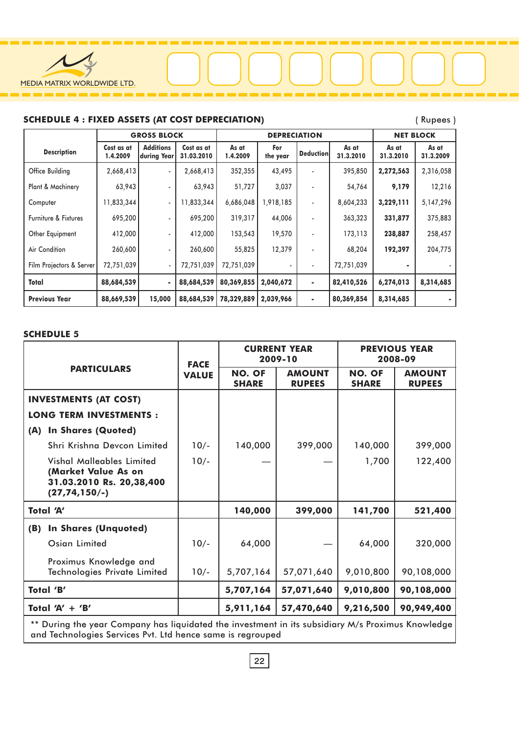

#### SCHEDULE 4 : FIXED ASSETS (AT COST DEPRECIATION) (Rupees )

|                          |                        | <b>GROSS BLOCK</b>              |                          | <b>DEPRECIATION</b> |                 |                  |                    | <b>NET BLOCK</b>   |                    |
|--------------------------|------------------------|---------------------------------|--------------------------|---------------------|-----------------|------------------|--------------------|--------------------|--------------------|
| <b>Description</b>       | Cost as at<br>1.4.2009 | <b>Additions</b><br>during Year | Cost as at<br>31.03.2010 | As at<br>1.4.2009   | For<br>the year | <b>Deduction</b> | As at<br>31.3.2010 | As at<br>31.3.2010 | As at<br>31.3.2009 |
| Office Building          | 2,668,413              | ٠                               | 2,668,413                | 352,355             | 43,495          |                  | 395,850            | 2,272,563          | 2,316,058          |
| Plant & Machinery        | 63,943                 | ۰.                              | 63,943                   | 51,727              | 3,037           |                  | 54,764             | 9,179              | 12,216             |
| Computer                 | 11,833,344             | $\blacksquare$                  | 11,833,344               | 6,686,048           | 1,918,185       | ۰                | 8,604,233          | 3,229,111          | 5, 147, 296        |
| Furniture & Fixtures     | 695,200                | $\overline{\phantom{0}}$        | 695,200                  | 319,317             | 44,006          |                  | 363,323            | 331,877            | 375,883            |
| Other Equipment          | 412,000                | ٠                               | 412,000                  | 153,543             | 19,570          |                  | 173,113            | 238,887            | 258,457            |
| Air Condition            | 260,600                | ٠                               | 260,600                  | 55,825              | 12,379          |                  | 68,204             | 192,397            | 204,775            |
| Film Projectors & Server | 72,751,039             | ٠                               | 72,751,039               | 72,751,039          |                 | ٠                | 72,751,039         |                    |                    |
| Total                    | 88,684,539             | ٠                               | 88,684,539               | 80,369,855          | 2,040,672       | ۰.               | 82,410,526         | 6,274,013          | 8,314,685          |
| <b>Previous Year</b>     | 88,669,539             | 15,000                          | 88,684,539               | 78,329,889          | 2,039,966       | ۰                | 80,369,854         | 8,314,685          |                    |

#### SCHEDULE 5

|                                                                                                   | <b>FACE</b>  |                               | <b>CURRENT YEAR</b><br>2009-10 | <b>PREVIOUS YEAR</b><br>2008-09 |                                |
|---------------------------------------------------------------------------------------------------|--------------|-------------------------------|--------------------------------|---------------------------------|--------------------------------|
| <b>PARTICULARS</b>                                                                                | <b>VALUE</b> | <b>NO. OF</b><br><b>SHARE</b> | <b>AMOUNT</b><br><b>RUPEES</b> | <b>NO. OF</b><br><b>SHARE</b>   | <b>AMOUNT</b><br><b>RUPEES</b> |
| <b>INVESTMENTS (AT COST)</b>                                                                      |              |                               |                                |                                 |                                |
| <b>LONG TERM INVESTMENTS:</b>                                                                     |              |                               |                                |                                 |                                |
| <b>In Shares (Quoted)</b><br>(A)                                                                  |              |                               |                                |                                 |                                |
| Shri Krishna Devcon Limited                                                                       | $10/-$       | 140,000                       | 399,000                        | 140,000                         | 399,000                        |
| Vishal Malleables Limited<br>(Market Value As on<br>31.03.2010 Rs. 20,38,400<br>$(27, 74, 150/-)$ | $10/-$       |                               |                                | 1,700                           | 122,400                        |
| Total 'A'                                                                                         |              | 140,000                       | 399,000                        | 141,700                         | 521,400                        |
| <b>In Shares (Unquoted)</b><br>(B)                                                                |              |                               |                                |                                 |                                |
| Osian Limited                                                                                     | $10/-$       | 64,000                        |                                | 64,000                          | 320,000                        |
| Proximus Knowledge and<br>Technologies Private Limited                                            | $10/-$       | 5,707,164                     | 57,071,640                     | 9,010,800                       | 90,108,000                     |
| Total 'B'                                                                                         |              | 5,707,164                     | 57,071,640                     | 9,010,800                       | 90,108,000                     |
| Total 'A' $+$ 'B'                                                                                 |              | 5,911,164                     | 57,470,640                     | 9,216,500                       | 90,949,400                     |

\*\* During the year Company has liquidated the investment in its subsidiary M/s Proximus Knowledge and Technologies Services Pvt. Ltd hence same is regrouped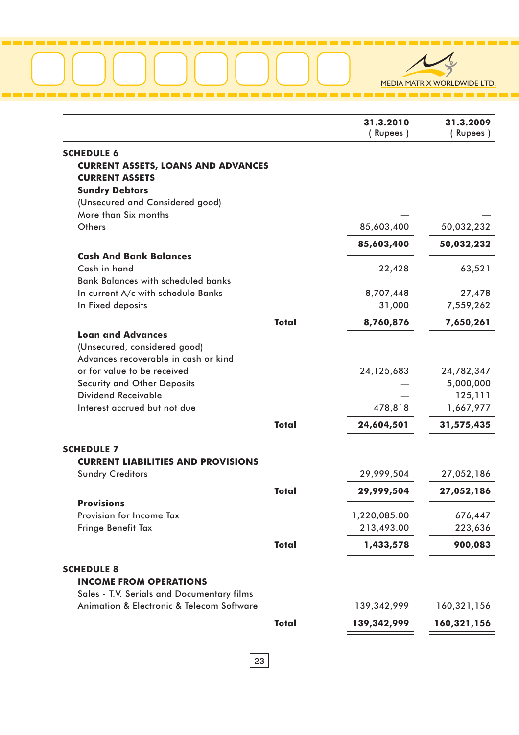#### . . . . . . ÷. a por a . . . . ٠. m r m. m. ٠.



|                                               |              | 31.3.2010<br>(Rupees) | 31.3.2009<br>(Rupees) |
|-----------------------------------------------|--------------|-----------------------|-----------------------|
| <b>SCHEDULE 6</b>                             |              |                       |                       |
| <b>CURRENT ASSETS, LOANS AND ADVANCES</b>     |              |                       |                       |
| <b>CURRENT ASSETS</b>                         |              |                       |                       |
| <b>Sundry Debtors</b>                         |              |                       |                       |
| (Unsecured and Considered good)               |              |                       |                       |
| More than Six months                          |              |                       |                       |
| Others                                        |              | 85,603,400            | 50,032,232            |
|                                               |              | 85,603,400            | 50,032,232            |
| <b>Cash And Bank Balances</b><br>Cash in hand |              |                       |                       |
| <b>Bank Balances with scheduled banks</b>     |              | 22,428                | 63,521                |
| In current A/c with schedule Banks            |              | 8,707,448             | 27,478                |
| In Fixed deposits                             |              | 31,000                | 7,559,262             |
|                                               | <b>Total</b> | 8,760,876             | 7,650,261             |
| <b>Loan and Advances</b>                      |              |                       |                       |
| (Unsecured, considered good)                  |              |                       |                       |
| Advances recoverable in cash or kind          |              |                       |                       |
| or for value to be received                   |              | 24, 125, 683          | 24,782,347            |
| <b>Security and Other Deposits</b>            |              |                       | 5,000,000             |
| Dividend Receivable                           |              |                       | 125,111               |
| Interest accrued but not due                  |              | 478,818               | 1,667,977             |
|                                               | <b>Total</b> | 24,604,501            | 31,575,435            |
| <b>SCHEDULE 7</b>                             |              |                       |                       |
| <b>CURRENT LIABILITIES AND PROVISIONS</b>     |              |                       |                       |
| <b>Sundry Creditors</b>                       |              | 29,999,504            | 27,052,186            |
|                                               | <b>Total</b> | 29,999,504            | 27,052,186            |
| <b>Provisions</b>                             |              |                       |                       |
| Provision for Income Tax                      |              | 1,220,085.00          | 676,447               |
| Fringe Benefit Tax                            |              | 213,493.00            | 223,636               |
|                                               | <b>Total</b> | 1,433,578             | 900,083               |
| <b>SCHEDULE 8</b>                             |              |                       |                       |
| <b>INCOME FROM OPERATIONS</b>                 |              |                       |                       |
| Sales - T.V. Serials and Documentary films    |              |                       |                       |
| Animation & Electronic & Telecom Software     |              | 139,342,999           | 160,321,156           |
|                                               | <b>Total</b> | 139,342,999           | 160,321,156           |
|                                               |              |                       |                       |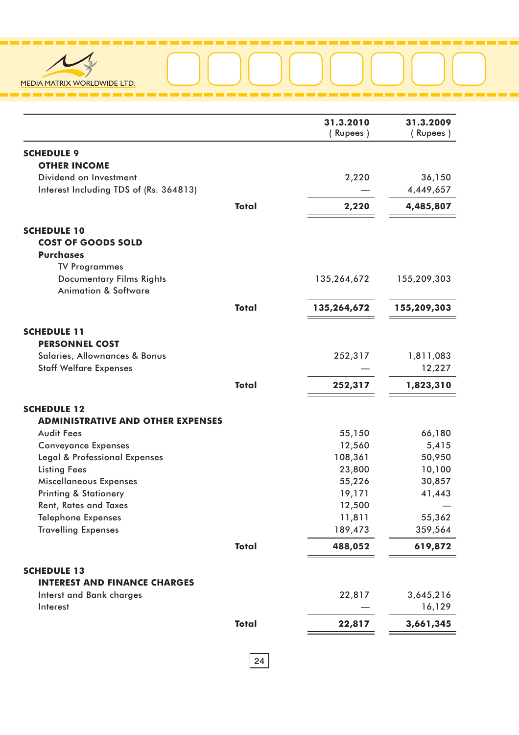

|                                                                    |              | 31.3.2010<br>(Rupees) | 31.3.2009<br>(Rupees) |
|--------------------------------------------------------------------|--------------|-----------------------|-----------------------|
| <b>SCHEDULE 9</b>                                                  |              |                       |                       |
| <b>OTHER INCOME</b>                                                |              |                       |                       |
| Dividend on Investment                                             |              | 2,220                 | 36,150                |
| Interest Including TDS of (Rs. 364813)                             |              |                       | 4,449,657             |
|                                                                    | <b>Total</b> | 2,220                 | 4,485,807             |
| <b>SCHEDULE 10</b>                                                 |              |                       |                       |
| <b>COST OF GOODS SOLD</b>                                          |              |                       |                       |
| <b>Purchases</b>                                                   |              |                       |                       |
| <b>TV Programmes</b>                                               |              |                       |                       |
| <b>Documentary Films Rights</b><br><b>Animation &amp; Software</b> |              | 135,264,672           | 155,209,303           |
|                                                                    | <b>Total</b> | 135,264,672           | 155,209,303           |
| <b>SCHEDULE 11</b>                                                 |              |                       |                       |
| <b>PERSONNEL COST</b>                                              |              |                       |                       |
| Salaries, Allownances & Bonus                                      |              | 252,317               | 1,811,083             |
| <b>Staff Welfare Expenses</b>                                      |              |                       | 12,227                |
|                                                                    | <b>Total</b> | 252,317               | 1,823,310             |
| <b>SCHEDULE 12</b>                                                 |              |                       |                       |
| <b>ADMINISTRATIVE AND OTHER EXPENSES</b>                           |              |                       |                       |
| <b>Audit Fees</b>                                                  |              | 55,150                | 66,180                |
| <b>Conveyance Expenses</b>                                         |              | 12,560                | 5,415                 |
| Legal & Professional Expenses                                      |              | 108,361               | 50,950                |
| <b>Listing Fees</b>                                                |              | 23,800                | 10,100                |
| Miscellaneous Expenses                                             |              | 55,226                | 30,857                |
| <b>Printing &amp; Stationery</b>                                   |              | 19,171                | 41,443                |
| <b>Rent, Rates and Taxes</b>                                       |              | 12,500                |                       |
| <b>Telephone Expenses</b>                                          |              | 11,811                | 55,362                |
| <b>Travelling Expenses</b>                                         |              | 189,473               | 359,564               |
|                                                                    | <b>Total</b> | 488,052               | 619,872               |
| <b>SCHEDULE 13</b>                                                 |              |                       |                       |
| <b>INTEREST AND FINANCE CHARGES</b>                                |              |                       |                       |
| <b>Interst and Bank charges</b>                                    |              | 22,817                | 3,645,216             |
| Interest                                                           |              |                       | 16,129                |
|                                                                    | <b>Total</b> | 22,817                | 3,661,345             |

----

÷.

. . .

n a

----------

÷.

. . . ٠. a an an a

٠. **The Co**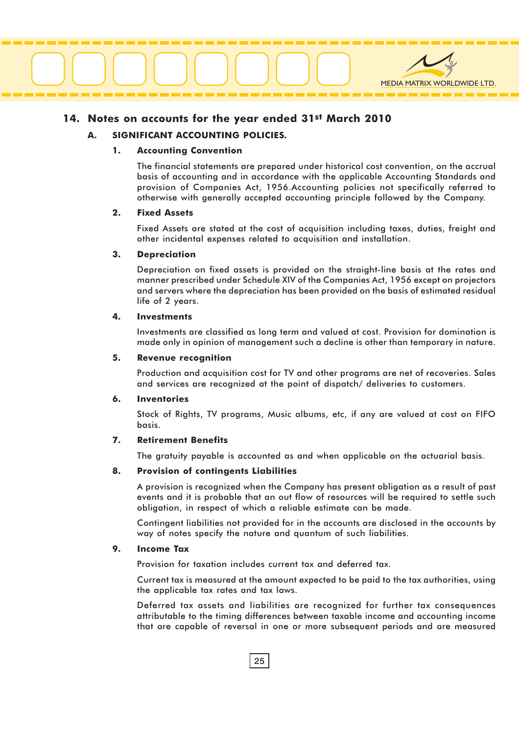

#### 14. Notes on accounts for the year ended 31st March 2010

#### A. SIGNIFICANT ACCOUNTING POLICIES.

#### 1. Accounting Convention

The financial statements are prepared under historical cost convention, on the accrual basis of accounting and in accordance with the applicable Accounting Standards and provision of Companies Act, 1956.Accounting policies not specifically referred to otherwise with generally accepted accounting principle followed by the Company.

#### 2. Fixed Assets

Fixed Assets are stated at the cost of acquisition including taxes, duties, freight and other incidental expenses related to acquisition and installation.

#### 3. Depreciation

Depreciation on fixed assets is provided on the straight-line basis at the rates and manner prescribed under Schedule XIV of the Companies Act, 1956 except on projectors and servers where the depreciation has been provided on the basis of estimated residual life of 2 years.

#### 4. Investments

Investments are classified as long term and valued at cost. Provision for domination is made only in opinion of management such a decline is other than temporary in nature.

#### 5. Revenue recognition

Production and acquisition cost for TV and other programs are net of recoveries. Sales and services are recognized at the point of dispatch/ deliveries to customers.

#### 6. Inventories

Stock of Rights, TV programs, Music albums, etc, if any are valued at cost on FIFO basis.

#### 7. Retirement Benefits

The gratuity payable is accounted as and when applicable on the actuarial basis.

#### 8. Provision of contingents Liabilities

A provision is recognized when the Company has present obligation as a result of past events and it is probable that an out flow of resources will be required to settle such obligation, in respect of which a reliable estimate can be made.

Contingent liabilities not provided for in the accounts are disclosed in the accounts by way of notes specify the nature and quantum of such liabilities.

#### 9. Income Tax

Provision for taxation includes current tax and deferred tax.

Current tax is measured at the amount expected to be paid to the tax authorities, using the applicable tax rates and tax laws.

Deferred tax assets and liabilities are recognized for further tax consequences attributable to the timing differences between taxable income and accounting income that are capable of reversal in one or more subsequent periods and are measured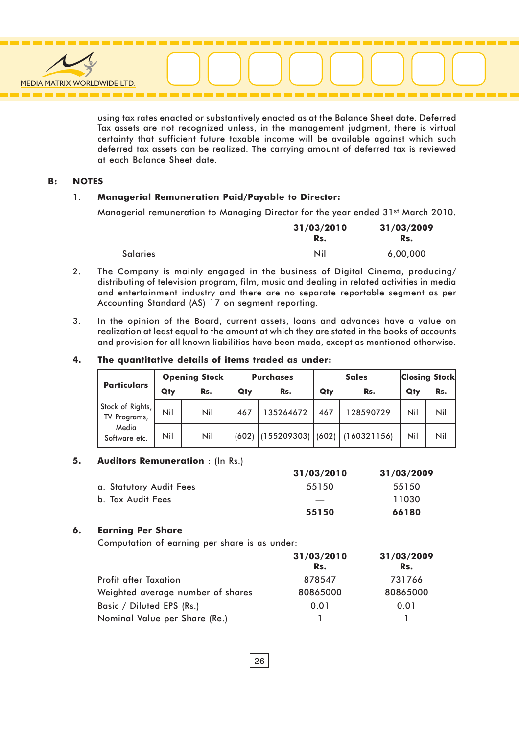

using tax rates enacted or substantively enacted as at the Balance Sheet date. Deferred Tax assets are not recognized unless, in the management judgment, there is virtual certainty that sufficient future taxable income will be available against which such deferred tax assets can be realized. The carrying amount of deferred tax is reviewed at each Balance Sheet date.

#### B: NOTES

#### 1. Managerial Remuneration Paid/Payable to Director:

Managerial remuneration to Managing Director for the year ended 31<sup>st</sup> March 2010.

|                 | 31/03/2010 | 31/03/2009 |
|-----------------|------------|------------|
|                 | Rs.        | Rs.        |
| <b>Salaries</b> | Nil        | 6,00,000   |

- 2. The Company is mainly engaged in the business of Digital Cinema, producing/ distributing of television program, film, music and dealing in related activities in media and entertainment industry and there are no separate reportable segment as per Accounting Standard (AS) 17 on segment reporting.
- 3. In the opinion of the Board, current assets, loans and advances have a value on realization at least equal to the amount at which they are stated in the books of accounts and provision for all known liabilities have been made, except as mentioned otherwise.

#### 4. The quantitative details of items traded as under:

|                                  | <b>Opening Stock</b> |     | <b>Purchases</b> |           | <b>Sales</b> |                                     | <b>Closing Stock</b> |     |
|----------------------------------|----------------------|-----|------------------|-----------|--------------|-------------------------------------|----------------------|-----|
| <b>Particulars</b>               | Qty                  | Rs. | Qty              | Rs.       | Qty          | Rs.                                 | Qty                  | Rs. |
| Stock of Rights,<br>TV Programs, | Nil                  | Nil | 467              | 135264672 | 467          | 128590729                           | Nil                  | Nil |
| Media<br>Software etc.           | Nil                  | Nil | (602)            |           |              | $(155209303)$ $(602)$ $(160321156)$ | Nil                  | Nil |

#### 5. Auditors Remuneration : (In Rs.)

|                         | 31/03/2010 | 31/03/2009 |
|-------------------------|------------|------------|
| a. Statutory Audit Fees | 55150      | 55150      |
| b. Tax Audit Fees       |            | 11030      |
|                         | 55150      | 66180      |

#### 6. Earning Per Share

Computation of earning per share is as under:

|                                   | 31/03/2010 | 31/03/2009 |
|-----------------------------------|------------|------------|
|                                   | Rs.        | Rs.        |
| <b>Profit after Taxation</b>      | 878547     | 731766     |
| Weighted average number of shares | 80865000   | 80865000   |
| Basic / Diluted EPS (Rs.)         | 0.01       | 0.01       |
| Nominal Value per Share (Re.)     |            |            |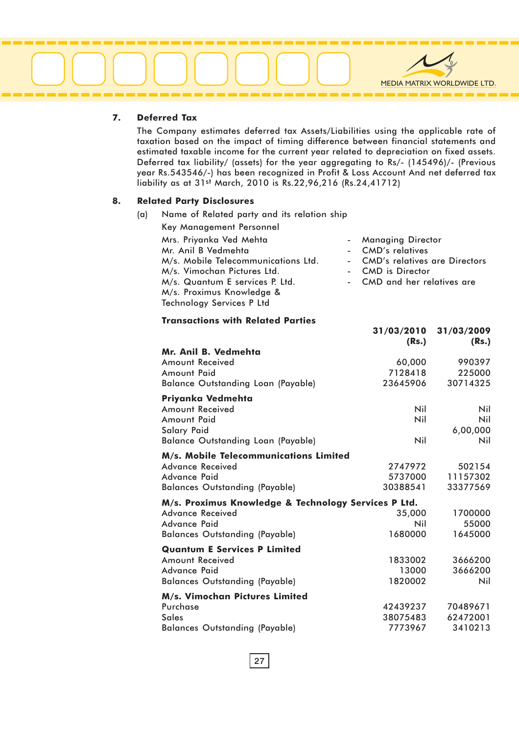

#### 7. Deferred Tax

The Company estimates deferred tax Assets/Liabilities using the applicable rate of taxation based on the impact of timing difference between financial statements and estimated taxable income for the current year related to depreciation on fixed assets. Deferred tax liability/ (assets) for the year aggregating to Rs/- (145496)/- (Previous year Rs.543546/-) has been recognized in Profit & Loss Account And net deferred tax liability as at 31st March, 2010 is Rs.22,96,216 (Rs.24,41712)

#### 8. Related Party Disclosures

(a) Name of Related party and its relation ship

| Key Management Personnel            |                                 |
|-------------------------------------|---------------------------------|
| Mrs. Priyanka Ved Mehta             | - Managing Director             |
| Mr. Anil B Vedmehta                 | - CMD's relatives               |
| M/s. Mobile Telecommunications Ltd. | - CMD's relatives are Directors |
| M/s. Vimochan Pictures Ltd.         | - CMD is Director               |
| M/s. Quantum E services P. Ltd.     | - CMD and her relatives are     |
| M/s. Proximus Knowledge &           |                                 |
| Technology Services P Ltd           |                                 |

31/03/2010 31/03/2009

#### Transactions with Related Parties

|                                                      | (Rs.)      | (Rs.)    |
|------------------------------------------------------|------------|----------|
| Mr. Anil B. Vedmehta                                 |            |          |
| Amount Received                                      | 60,000     | 990397   |
| Amount Paid                                          | 7128418    | 225000   |
| <b>Balance Outstanding Loan (Payable)</b>            | 23645906   | 30714325 |
| Priyanka Vedmehta                                    |            |          |
| <b>Amount Received</b>                               | <b>Nil</b> | Nil      |
| Amount Paid                                          | Nil        | Nil      |
| <b>Salary Paid</b>                                   |            | 6,00,000 |
| <b>Balance Outstanding Loan (Payable)</b>            | Nil        | Nil      |
| M/s. Mobile Telecommunications Limited               |            |          |
| Advance Received                                     | 2747972    | 502154   |
| Advance Paid                                         | 5737000    | 11157302 |
| <b>Balances Outstanding (Payable)</b>                | 30388541   | 33377569 |
| M/s. Proximus Knowledge & Technology Services P Ltd. |            |          |
| <b>Advance Received</b>                              | 35,000     | 1700000  |
| Advance Paid                                         | Nil        | 55000    |
| <b>Balances Outstanding (Payable)</b>                | 1680000    | 1645000  |
| <b>Quantum E Services P Limited</b>                  |            |          |
| <b>Amount Received</b>                               | 1833002    | 3666200  |
| Advance Paid                                         | 13000      | 3666200  |
| <b>Balances Outstanding (Payable)</b>                | 1820002    | Nil      |
| M/s. Vimochan Pictures Limited                       |            |          |
| Purchase                                             | 42439237   | 70489671 |
| <b>Sales</b>                                         | 38075483   | 62472001 |
| <b>Balances Outstanding (Payable)</b>                | 7773967    | 3410213  |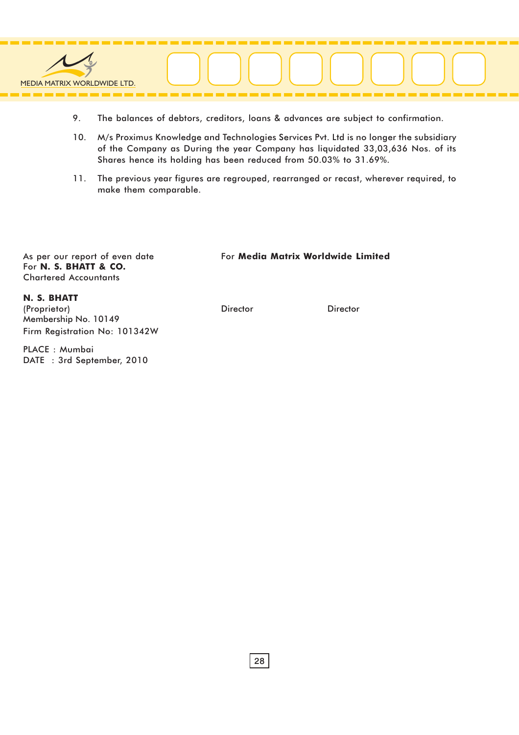

- 9. The balances of debtors, creditors, loans & advances are subject to confirmation.
- 10. M/s Proximus Knowledge and Technologies Services Pvt. Ltd is no longer the subsidiary of the Company as During the year Company has liquidated 33,03,636 Nos. of its Shares hence its holding has been reduced from 50.03% to 31.69%.
- 11. The previous year figures are regrouped, rearranged or recast, wherever required, to make them comparable.

As per our report of even date For N. S. BHATT & CO. Chartered Accountants

#### For Media Matrix Worldwide Limited

N. S. BHATT

(Proprietor) Membership No. 10149 Firm Registration No: 101342W

PLACE : Mumbai DATE : 3rd September, 2010

Director Director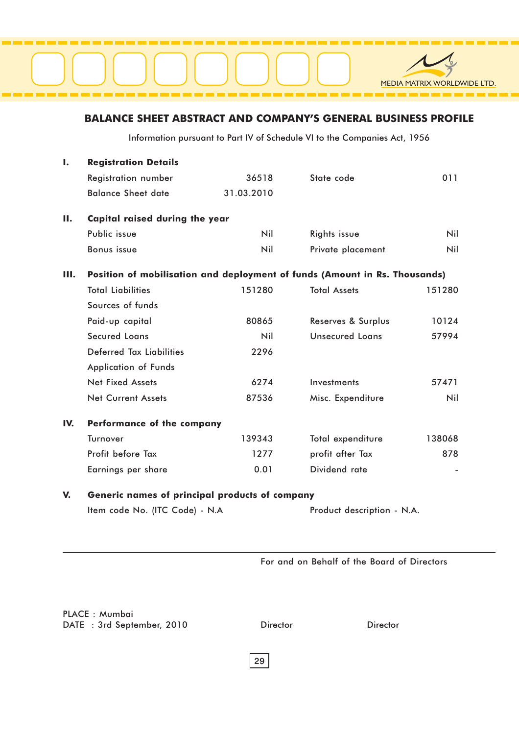#### BALANCE SHEET ABSTRACT AND COMPANY'S GENERAL BUSINESS PROFILE

Information pursuant to Part IV of Schedule VI to the Companies Act, 1956

| Ι.  | <b>Registration Details</b>                                                |            |                        |        |
|-----|----------------------------------------------------------------------------|------------|------------------------|--------|
|     | <b>Registration number</b>                                                 | 36518      | State code             | 011    |
|     | <b>Balance Sheet date</b>                                                  | 31.03.2010 |                        |        |
| П.  | Capital raised during the year                                             |            |                        |        |
|     | Public issue                                                               | Nil        | Rights issue           | Nil    |
|     | <b>Bonus</b> issue                                                         | Nil        | Private placement      | Nil    |
| Ш.  | Position of mobilisation and deployment of funds (Amount in Rs. Thousands) |            |                        |        |
|     | <b>Total Liabilities</b>                                                   | 151280     | <b>Total Assets</b>    | 151280 |
|     | Sources of funds                                                           |            |                        |        |
|     | Paid-up capital                                                            | 80865      | Reserves & Surplus     | 10124  |
|     | <b>Secured Loans</b>                                                       | Nil        | <b>Unsecured Loans</b> | 57994  |
|     | <b>Deferred Tax Liabilities</b>                                            | 2296       |                        |        |
|     | <b>Application of Funds</b>                                                |            |                        |        |
|     | <b>Net Fixed Assets</b>                                                    | 6274       | Investments            | 57471  |
|     | <b>Net Current Assets</b>                                                  | 87536      | Misc. Expenditure      | Nil    |
| IV. | Performance of the company                                                 |            |                        |        |
|     | Turnover                                                                   | 139343     | Total expenditure      | 138068 |
|     | Profit before Tax                                                          | 1277       | profit after Tax       | 878    |
|     | Earnings per share                                                         | 0.01       | Dividend rate          |        |
| V.  | Generic names of principal products of company                             |            |                        |        |
|     | Item code No. (ITC Code) - N.A<br>Product description - N.A.               |            |                        |        |

For and on Behalf of the Board of Directors

PLACE : Mumbai DATE : 3rd September, 2010

Director Director